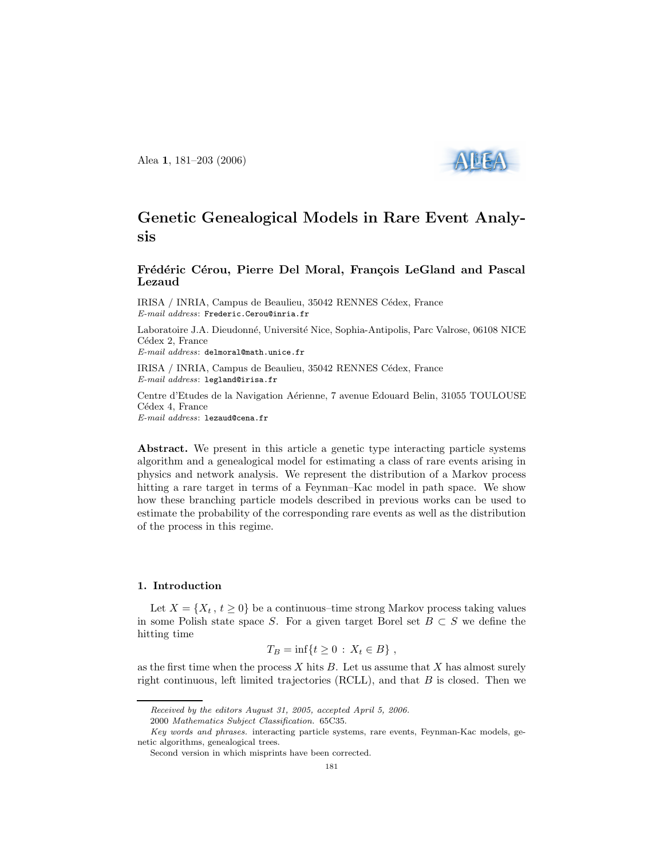Alea 1, 181–203 (2006)



# Genetic Genealogical Models in Rare Event Analysis

# Frédéric Cérou, Pierre Del Moral, François LeGland and Pascal Lezaud

IRISA / INRIA, Campus de Beaulieu, 35042 RENNES Cédex, France E-mail address: Frederic.Cerou@inria.fr

Laboratoire J.A. Dieudonné, Université Nice, Sophia-Antipolis, Parc Valrose, 06108 NICE Cédex 2, France

E-mail address: delmoral@math.unice.fr

IRISA / INRIA, Campus de Beaulieu, 35042 RENNES Cédex, France E-mail address: legland@irisa.fr

Centre d'Etudes de la Navigation A´erienne, 7 avenue Edouard Belin, 31055 TOULOUSE Cédex 4, France E-mail address: lezaud@cena.fr

Abstract. We present in this article a genetic type interacting particle systems algorithm and a genealogical model for estimating a class of rare events arising in physics and network analysis. We represent the distribution of a Markov process hitting a rare target in terms of a Feynman–Kac model in path space. We show how these branching particle models described in previous works can be used to estimate the probability of the corresponding rare events as well as the distribution of the process in this regime.

#### 1. Introduction

Let  $X = \{X_t, t \geq 0\}$  be a continuous–time strong Markov process taking values in some Polish state space S. For a given target Borel set  $B \subset S$  we define the hitting time

$$
T_B = \inf\{t \ge 0 \,:\, X_t \in B\},\,
$$

as the first time when the process  $X$  hits  $B$ . Let us assume that  $X$  has almost surely right continuous, left limited trajectories  $(RCLL)$ , and that  $B$  is closed. Then we

Received by the editors August 31, 2005, accepted April 5, 2006.

<sup>2000</sup> Mathematics Subject Classification. 65C35.

Key words and phrases. interacting particle systems, rare events, Feynman-Kac models, genetic algorithms, genealogical trees.

Second version in which misprints have been corrected.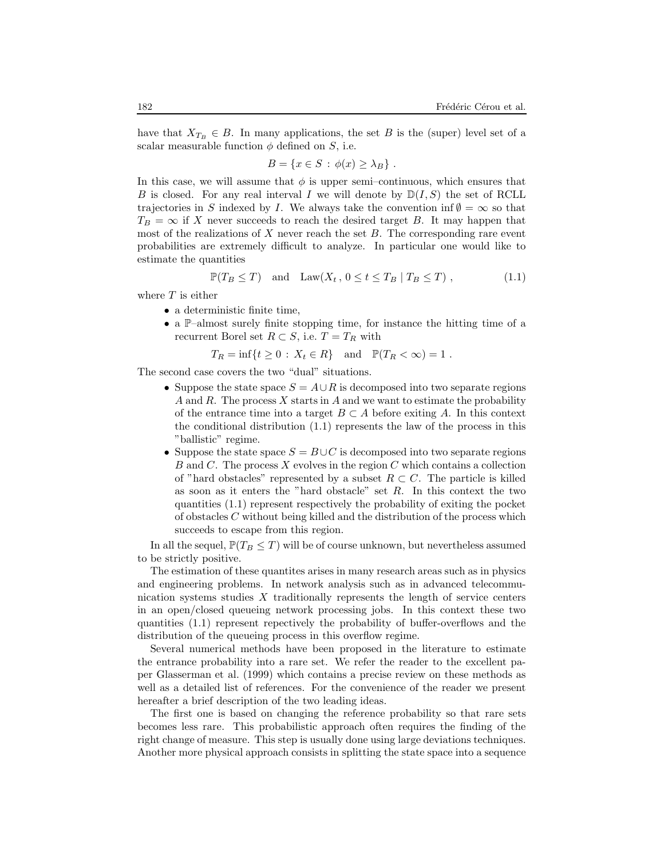have that  $X_{T_B} \in B$ . In many applications, the set B is the (super) level set of a scalar measurable function  $\phi$  defined on S, i.e.

$$
B = \{x \in S : \phi(x) \ge \lambda_B\} .
$$

In this case, we will assume that  $\phi$  is upper semi-continuous, which ensures that B is closed. For any real interval I we will denote by  $\mathbb{D}(I, S)$  the set of RCLL trajectories in S indexed by I. We always take the convention inf  $\emptyset = \infty$  so that  $T_B = \infty$  if X never succeeds to reach the desired target B. It may happen that most of the realizations of  $X$  never reach the set  $B$ . The corresponding rare event probabilities are extremely difficult to analyze. In particular one would like to estimate the quantities

$$
\mathbb{P}(T_B \le T) \quad \text{and} \quad \text{Law}(X_t, \, 0 \le t \le T_B \mid T_B \le T) \;, \tag{1.1}
$$

where  $T$  is either

- a deterministic finite time,
- a  $\mathbb{P}-$ almost surely finite stopping time, for instance the hitting time of a recurrent Borel set  $R \subset S$ , i.e.  $T = T_R$  with
	- $T_R = \inf\{t \ge 0 : X_t \in R\}$  and  $\mathbb{P}(T_R < \infty) = 1$ .

The second case covers the two "dual" situations.

- Suppose the state space  $S = A \cup R$  is decomposed into two separate regions A and R. The process X starts in A and we want to estimate the probability of the entrance time into a target  $B \subset A$  before exiting A. In this context the conditional distribution  $(1.1)$  represents the law of the process in this "ballistic" regime.
- Suppose the state space  $S = B \cup C$  is decomposed into two separate regions B and C. The process  $X$  evolves in the region  $C$  which contains a collection of "hard obstacles" represented by a subset  $R \subset C$ . The particle is killed as soon as it enters the "hard obstacle" set  $R$ . In this context the two quantities (1.1) represent respectively the probability of exiting the pocket of obstacles C without being killed and the distribution of the process which succeeds to escape from this region.

In all the sequel,  $\mathbb{P}(T_B \leq T)$  will be of course unknown, but nevertheless assumed to be strictly positive.

The estimation of these quantites arises in many research areas such as in physics and engineering problems. In network analysis such as in advanced telecommunication systems studies  $X$  traditionally represents the length of service centers in an open/closed queueing network processing jobs. In this context these two quantities (1.1) represent repectively the probability of buffer-overflows and the distribution of the queueing process in this overflow regime.

Several numerical methods have been proposed in the literature to estimate the entrance probability into a rare set. We refer the reader to the excellent paper Glasserman et al. (1999) which contains a precise review on these methods as well as a detailed list of references. For the convenience of the reader we present hereafter a brief description of the two leading ideas.

The first one is based on changing the reference probability so that rare sets becomes less rare. This probabilistic approach often requires the finding of the right change of measure. This step is usually done using large deviations techniques. Another more physical approach consists in splitting the state space into a sequence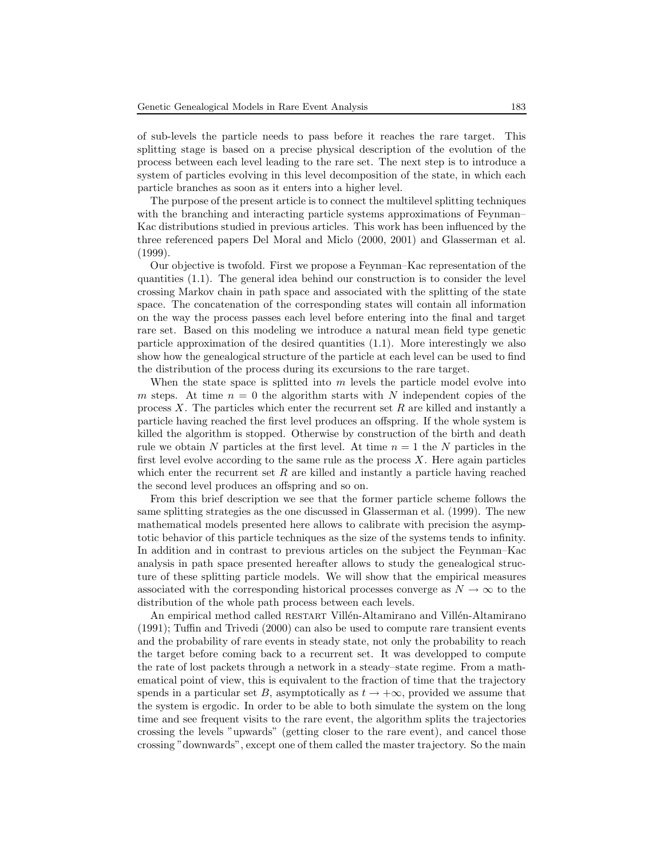of sub-levels the particle needs to pass before it reaches the rare target. This splitting stage is based on a precise physical description of the evolution of the process between each level leading to the rare set. The next step is to introduce a system of particles evolving in this level decomposition of the state, in which each particle branches as soon as it enters into a higher level.

The purpose of the present article is to connect the multilevel splitting techniques with the branching and interacting particle systems approximations of Feynman– Kac distributions studied in previous articles. This work has been influenced by the three referenced papers Del Moral and Miclo (2000, 2001) and Glasserman et al. (1999).

Our objective is twofold. First we propose a Feynman–Kac representation of the quantities (1.1). The general idea behind our construction is to consider the level crossing Markov chain in path space and associated with the splitting of the state space. The concatenation of the corresponding states will contain all information on the way the process passes each level before entering into the final and target rare set. Based on this modeling we introduce a natural mean field type genetic particle approximation of the desired quantities (1.1). More interestingly we also show how the genealogical structure of the particle at each level can be used to find the distribution of the process during its excursions to the rare target.

When the state space is splitted into  $m$  levels the particle model evolve into m steps. At time  $n = 0$  the algorithm starts with N independent copies of the process  $X$ . The particles which enter the recurrent set  $R$  are killed and instantly a particle having reached the first level produces an offspring. If the whole system is killed the algorithm is stopped. Otherwise by construction of the birth and death rule we obtain N particles at the first level. At time  $n = 1$  the N particles in the first level evolve according to the same rule as the process  $X$ . Here again particles which enter the recurrent set  $R$  are killed and instantly a particle having reached the second level produces an offspring and so on.

From this brief description we see that the former particle scheme follows the same splitting strategies as the one discussed in Glasserman et al. (1999). The new mathematical models presented here allows to calibrate with precision the asymptotic behavior of this particle techniques as the size of the systems tends to infinity. In addition and in contrast to previous articles on the subject the Feynman–Kac analysis in path space presented hereafter allows to study the genealogical structure of these splitting particle models. We will show that the empirical measures associated with the corresponding historical processes converge as  $N \to \infty$  to the distribution of the whole path process between each levels.

An empirical method called RESTART Villén-Altamirano and Villén-Altamirano (1991); Tuffin and Trivedi (2000) can also be used to compute rare transient events and the probability of rare events in steady state, not only the probability to reach the target before coming back to a recurrent set. It was developped to compute the rate of lost packets through a network in a steady–state regime. From a mathematical point of view, this is equivalent to the fraction of time that the trajectory spends in a particular set B, asymptotically as  $t \to +\infty$ , provided we assume that the system is ergodic. In order to be able to both simulate the system on the long time and see frequent visits to the rare event, the algorithm splits the trajectories crossing the levels "upwards" (getting closer to the rare event), and cancel those crossing "downwards", except one of them called the master trajectory. So the main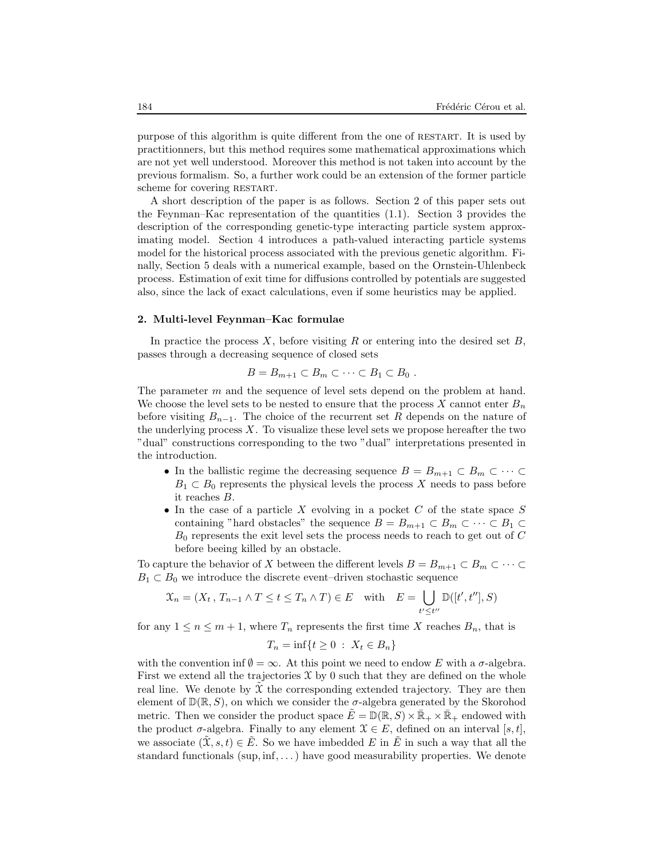purpose of this algorithm is quite different from the one of restart. It is used by practitionners, but this method requires some mathematical approximations which are not yet well understood. Moreover this method is not taken into account by the previous formalism. So, a further work could be an extension of the former particle scheme for covering RESTART.

A short description of the paper is as follows. Section 2 of this paper sets out the Feynman–Kac representation of the quantities (1.1). Section 3 provides the description of the corresponding genetic-type interacting particle system approximating model. Section 4 introduces a path-valued interacting particle systems model for the historical process associated with the previous genetic algorithm. Finally, Section 5 deals with a numerical example, based on the Ornstein-Uhlenbeck process. Estimation of exit time for diffusions controlled by potentials are suggested also, since the lack of exact calculations, even if some heuristics may be applied.

#### 2. Multi-level Feynman–Kac formulae

In practice the process X, before visiting R or entering into the desired set B, passes through a decreasing sequence of closed sets

$$
B=B_{m+1}\subset B_m\subset\cdots\subset B_1\subset B_0.
$$

The parameter m and the sequence of level sets depend on the problem at hand. We choose the level sets to be nested to ensure that the process X cannot enter  $B_n$ before visiting  $B_{n-1}$ . The choice of the recurrent set R depends on the nature of the underlying process  $X$ . To visualize these level sets we propose hereafter the two "dual" constructions corresponding to the two "dual" interpretations presented in the introduction.

- In the ballistic regime the decreasing sequence  $B = B_{m+1} \subset B_m \subset \cdots \subset$  $B_1 \subset B_0$  represents the physical levels the process X needs to pass before it reaches B.
- In the case of a particle X evolving in a pocket  $C$  of the state space  $S$ containing "hard obstacles" the sequence  $B = B_{m+1} \subset B_m \subset \cdots \subset B_1 \subset$  $B_0$  represents the exit level sets the process needs to reach to get out of  $C$ before beeing killed by an obstacle.

To capture the behavior of X between the different levels  $B = B_{m+1} \subset B_m \subset \cdots \subset$  $B_1 \subset B_0$  we introduce the discrete event–driven stochastic sequence

$$
\mathcal{X}_n = (X_t, T_{n-1} \wedge T \le t \le T_n \wedge T) \in E \quad \text{with} \quad E = \bigcup_{t' \le t''} \mathbb{D}([t', t''], S)
$$

for any  $1 \leq n \leq m+1$ , where  $T_n$  represents the first time X reaches  $B_n$ , that is

$$
T_n = \inf\{t \ge 0 \,:\ X_t \in B_n\}
$$

with the convention inf  $\emptyset = \infty$ . At this point we need to endow E with a  $\sigma$ -algebra. First we extend all the trajectories  $\mathfrak X$  by 0 such that they are defined on the whole real line. We denote by  $\mathfrak X$  the corresponding extended trajectory. They are then element of  $\mathbb{D}(\mathbb{R}, S)$ , on which we consider the  $\sigma$ -algebra generated by the Skorohod metric. Then we consider the product space  $\tilde{E} = \mathbb{D}(\mathbb{R}, S) \times \bar{\mathbb{R}}_+ \times \bar{\mathbb{R}}_+$  endowed with the product  $\sigma$ -algebra. Finally to any element  $\mathcal{X} \in E$ , defined on an interval [s, t], we associate  $(\hat{X}, s, t) \in \hat{E}$ . So we have imbedded E in E in such a way that all the standard functionals  $(sup, inf, \ldots)$  have good measurability properties. We denote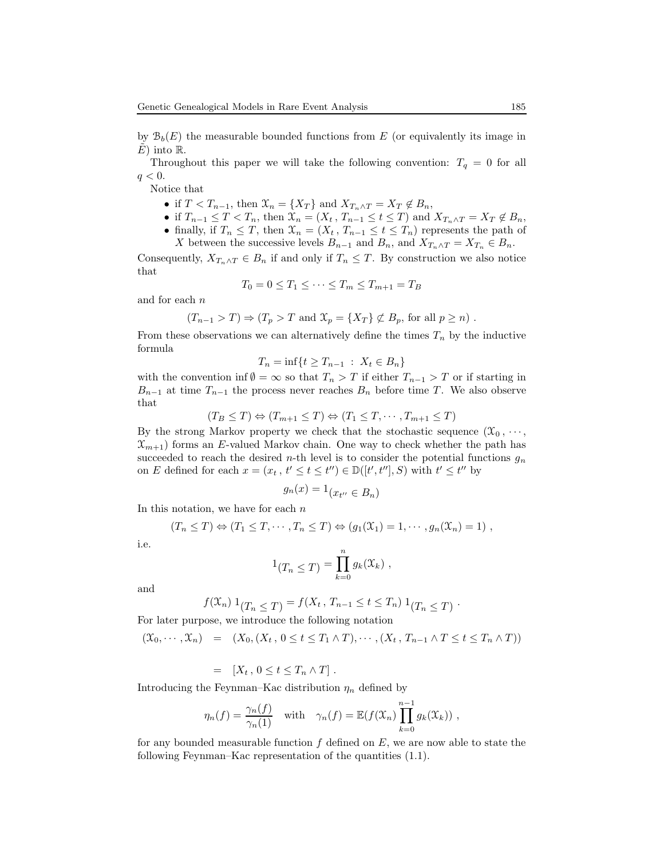by  $\mathcal{B}_b(E)$  the measurable bounded functions from E (or equivalently its image in  $E)$  into  $\mathbb{R}$ .

Throughout this paper we will take the following convention:  $T_q = 0$  for all  $q < 0$ .

Notice that

- if  $T < T_{n-1}$ , then  $\mathcal{X}_n = \{X_T\}$  and  $X_{T_n \wedge T} = X_T \notin B_n$ ,
- if  $T_{n-1} \leq T < T_n$ , then  $\mathcal{X}_n = (X_t, T_{n-1} \leq t \leq T)$  and  $X_{T_n \wedge T} = X_T \notin B_n$ ,
- finally, if  $T_n \leq T$ , then  $\mathcal{X}_n = (X_t, T_{n-1} \leq t \leq T_n)$  represents the path of

X between the successive levels  $B_{n-1}$  and  $B_n$ , and  $X_{T_n \wedge T} = X_{T_n} \in B_n$ . Consequently,  $X_{T_n \wedge T} \in B_n$  if and only if  $T_n \leq T$ . By construction we also notice that

$$
T_0 = 0 \le T_1 \le \dots \le T_m \le T_{m+1} = T_B
$$

and for each n

$$
(T_{n-1} > T) \Rightarrow (T_p > T \text{ and } \mathcal{X}_p = \{X_T\} \not\subset B_p \text{, for all } p \geq n)
$$
.

From these observations we can alternatively define the times  $T_n$  by the inductive formula

$$
T_n = \inf\{t \ge T_{n-1} : X_t \in B_n\}
$$

with the convention inf  $\emptyset = \infty$  so that  $T_n > T$  if either  $T_{n-1} > T$  or if starting in  $B_{n-1}$  at time  $T_{n-1}$  the process never reaches  $B_n$  before time T. We also observe that

$$
(T_B \le T) \Leftrightarrow (T_{m+1} \le T) \Leftrightarrow (T_1 \le T, \cdots, T_{m+1} \le T)
$$

By the strong Markov property we check that the stochastic sequence  $(\mathcal{X}_0, \dots,$  $\mathfrak{X}_{m+1}$ ) forms an E-valued Markov chain. One way to check whether the path has succeeded to reach the desired n-th level is to consider the potential functions  $g_n$ on E defined for each  $x = (x_t, t' \le t \le t'') \in \mathbb{D}([t', t''], S)$  with  $t' \le t''$  by

$$
g_n(x) = 1_{\left(x_{t^{\prime\prime}} \in B_n\right)}
$$

In this notation, we have for each  $n$ 

$$
(T_n \leq T) \Leftrightarrow (T_1 \leq T, \cdots, T_n \leq T) \Leftrightarrow (g_1(\mathfrak{X}_1) = 1, \cdots, g_n(\mathfrak{X}_n) = 1),
$$

i.e.

$$
1_{(T_n \leq T)} = \prod_{k=0}^n g_k(\mathfrak{X}_k) ,
$$

and

$$
f(\mathfrak{X}_n) 1_{(T_n \leq T)} = f(X_t, T_{n-1} \leq t \leq T_n) 1_{(T_n \leq T)}.
$$

For later purpose, we introduce the following notation

$$
(\mathfrak{X}_0,\cdots,\mathfrak{X}_n) = (X_0,(X_t, 0 \leq t \leq T_1 \wedge T),\cdots,(X_t, T_{n-1} \wedge T \leq t \leq T_n \wedge T))
$$

$$
= [X_t, 0 \le t \le T_n \wedge T].
$$

Introducing the Feynman–Kac distribution  $\eta_n$  defined by

$$
\eta_n(f) = \frac{\gamma_n(f)}{\gamma_n(1)} \quad \text{with} \quad \gamma_n(f) = \mathbb{E}(f(\mathfrak{X}_n) \prod_{k=0}^{n-1} g_k(\mathfrak{X}_k)) \;,
$$

for any bounded measurable function  $f$  defined on  $E$ , we are now able to state the following Feynman–Kac representation of the quantities (1.1).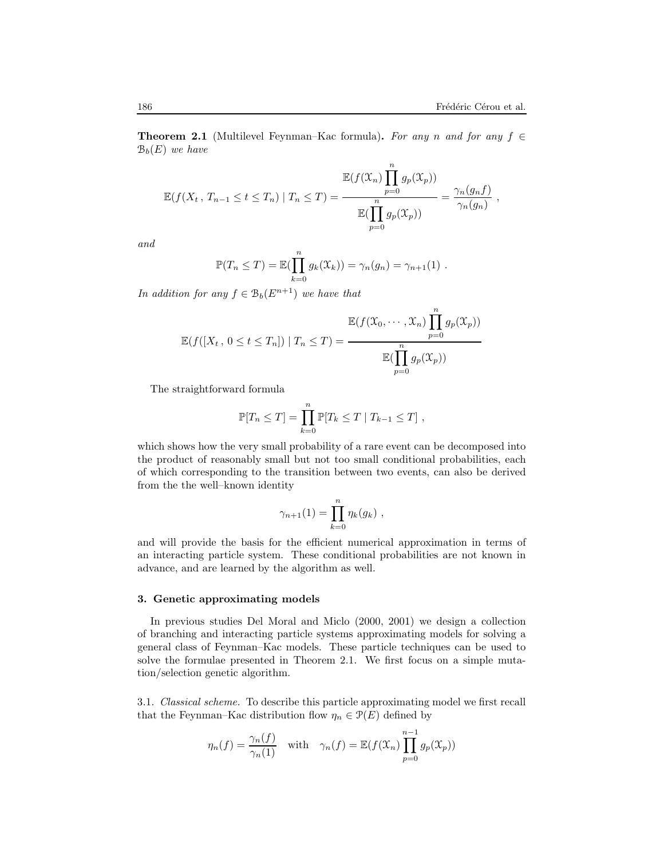**Theorem 2.1** (Multilevel Feynman–Kac formula). For any n and for any  $f \in$  $\mathcal{B}_b(E)$  we have

$$
\mathbb{E}(f(X_t, T_{n-1} \le t \le T_n) | T_n \le T) = \frac{\mathbb{E}(f(X_n) \prod_{p=0}^n g_p(X_p))}{\mathbb{E}(\prod_{p=0}^n g_p(X_p))} = \frac{\gamma_n(g_nf)}{\gamma_n(g_n)},
$$

and

$$
\mathbb{P}(T_n \leq T) = \mathbb{E}(\prod_{k=0}^n g_k(\mathfrak{X}_k)) = \gamma_n(g_n) = \gamma_{n+1}(1) .
$$

In addition for any  $f \in B_b(E^{n+1})$  we have that

$$
\mathbb{E}(f([X_t, 0 \le t \le T_n]) | T_n \le T) = \frac{\mathbb{E}(f(\mathfrak{X}_0, \dots, \mathfrak{X}_n) \prod_{p=0}^n g_p(\mathfrak{X}_p))}{\mathbb{E}(\prod_{p=0}^n g_p(\mathfrak{X}_p))}
$$

The straightforward formula

$$
\mathbb{P}[T_n \leq T] = \prod_{k=0}^n \mathbb{P}[T_k \leq T | T_{k-1} \leq T],
$$

which shows how the very small probability of a rare event can be decomposed into the product of reasonably small but not too small conditional probabilities, each of which corresponding to the transition between two events, can also be derived from the the well–known identity

$$
\gamma_{n+1}(1) = \prod_{k=0}^n \eta_k(g_k) ,
$$

and will provide the basis for the efficient numerical approximation in terms of an interacting particle system. These conditional probabilities are not known in advance, and are learned by the algorithm as well.

#### 3. Genetic approximating models

In previous studies Del Moral and Miclo (2000, 2001) we design a collection of branching and interacting particle systems approximating models for solving a general class of Feynman–Kac models. These particle techniques can be used to solve the formulae presented in Theorem 2.1. We first focus on a simple mutation/selection genetic algorithm.

3.1. Classical scheme. To describe this particle approximating model we first recall that the Feynman–Kac distribution flow  $\eta_n \in \mathcal{P}(E)$  defined by

$$
\eta_n(f) = \frac{\gamma_n(f)}{\gamma_n(1)} \quad \text{with} \quad \gamma_n(f) = \mathbb{E}(f(\mathfrak{X}_n) \prod_{p=0}^{n-1} g_p(\mathfrak{X}_p))
$$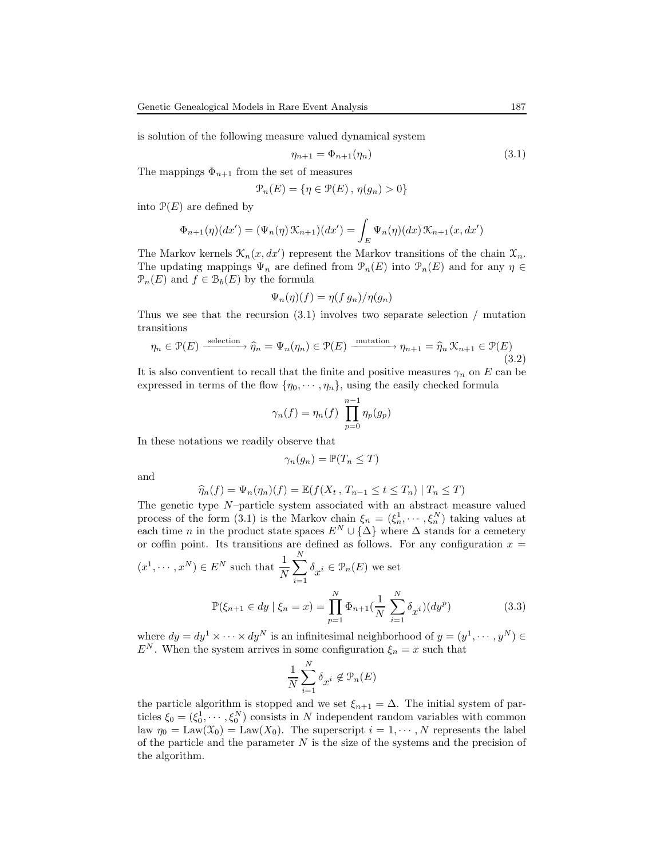is solution of the following measure valued dynamical system

$$
\eta_{n+1} = \Phi_{n+1}(\eta_n) \tag{3.1}
$$

The mappings  $\Phi_{n+1}$  from the set of measures

$$
\mathcal{P}_n(E) = \{ \eta \in \mathcal{P}(E) \, , \, \eta(g_n) > 0 \}
$$

into  $\mathcal{P}(E)$  are defined by

$$
\Phi_{n+1}(\eta)(dx') = (\Psi_n(\eta) \mathcal{K}_{n+1})(dx') = \int_E \Psi_n(\eta)(dx) \mathcal{K}_{n+1}(x, dx')
$$

The Markov kernels  $\mathcal{K}_n(x, dx')$  represent the Markov transitions of the chain  $\mathcal{X}_n$ . The updating mappings  $\Psi_n$  are defined from  $\mathcal{P}_n(E)$  into  $\mathcal{P}_n(E)$  and for any  $\eta \in$  $\mathcal{P}_n(E)$  and  $f \in \mathcal{B}_b(E)$  by the formula

$$
\Psi_n(\eta)(f) = \eta(f g_n)/\eta(g_n)
$$

Thus we see that the recursion  $(3.1)$  involves two separate selection / mutation transitions

$$
\eta_n \in \mathcal{P}(E) \xrightarrow{\text{selection}} \widehat{\eta}_n = \Psi_n(\eta_n) \in \mathcal{P}(E) \xrightarrow{\text{mutation}} \eta_{n+1} = \widehat{\eta}_n \mathcal{K}_{n+1} \in \mathcal{P}(E) \tag{3.2}
$$

It is also conventient to recall that the finite and positive measures  $\gamma_n$  on E can be expressed in terms of the flow  $\{\eta_0, \dots, \eta_n\}$ , using the easily checked formula

$$
\gamma_n(f) = \eta_n(f) \prod_{p=0}^{n-1} \eta_p(g_p)
$$

In these notations we readily observe that

$$
\gamma_n(g_n) = \mathbb{P}(T_n \leq T)
$$

and

$$
\widehat{\eta}_n(f) = \Psi_n(\eta_n)(f) = \mathbb{E}(f(X_t, T_{n-1} \le t \le T_n) | T_n \le T)
$$

The genetic type N–particle system associated with an abstract measure valued process of the form (3.1) is the Markov chain  $\xi_n = (\xi_n^1, \dots, \xi_n^N)$  taking values at each time n in the product state spaces  $E^N \cup {\{\Delta\}}$  where  $\Delta$  stands for a cemetery or coffin point. Its transitions are defined as follows. For any configuration  $x =$ 

$$
(x1,..., xN) \in EN \text{ such that } \frac{1}{N} \sum_{i=1}^{N} \delta_{x^{i}} \in \mathcal{P}_{n}(E) \text{ we set}
$$

$$
\mathbb{P}(\xi_{n+1} \in dy \mid \xi_{n} = x) = \prod_{p=1}^{N} \Phi_{n+1}(\frac{1}{N} \sum_{i=1}^{N} \delta_{x^{i}})(dy^{p})
$$
(3.3)

where  $dy = dy^1 \times \cdots \times dy^N$  is an infinitesimal neighborhood of  $y = (y^1, \dots, y^N) \in$  $E^N$ . When the system arrives in some configuration  $\xi_n = x$  such that

$$
\frac{1}{N}\sum_{i=1}^N\delta_{\mathop{\mathcal{X}}}^i\not\in\mathcal{P}_n(E)
$$

the particle algorithm is stopped and we set  $\xi_{n+1} = \Delta$ . The initial system of particles  $\xi_0 = (\xi_0^1, \dots, \xi_0^N)$  consists in N independent random variables with common law  $\eta_0 = \text{Law}(\mathfrak{X}_0) = \text{Law}(X_0)$ . The superscript  $i = 1, \dots, N$  represents the label of the particle and the parameter  $N$  is the size of the systems and the precision of the algorithm.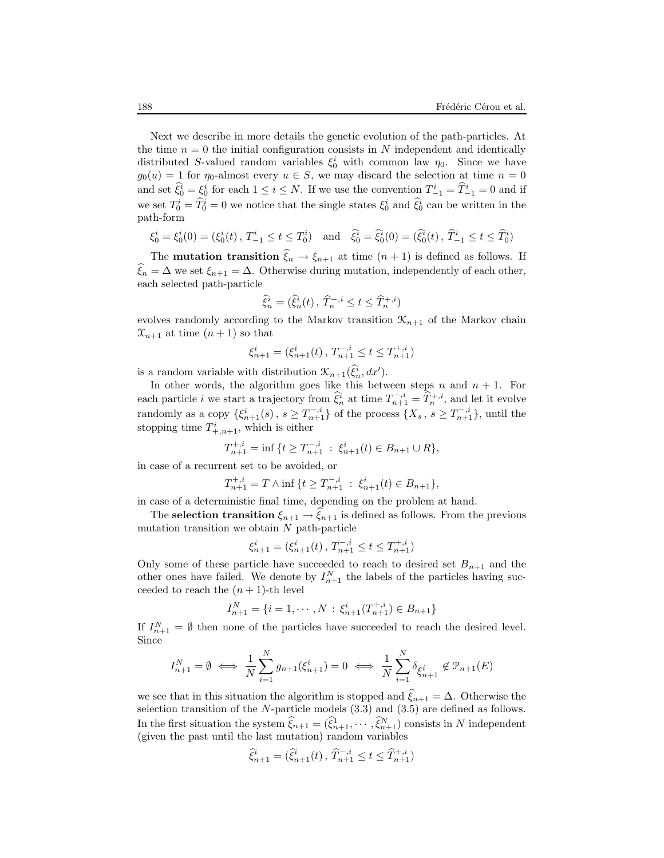Next we describe in more details the genetic evolution of the path-particles. At the time  $n = 0$  the initial configuration consists in N independent and identically distributed S-valued random variables  $\xi_0^i$  with common law  $\eta_0$ . Since we have  $g_0(u) = 1$  for  $\eta_0$ -almost every  $u \in S$ , we may discard the selection at time  $n = 0$ and set  $\hat{\xi}_0^i = \xi_0^i$  for each  $1 \leq i \leq N$ . If we use the convention  $T_{-1}^i = \hat{T}_{-1}^i = 0$  and if we set  $T_0^i = \tilde{T}_0^i = 0$  we notice that the single states  $\xi_0^i$  and  $\tilde{\xi}_0^i$  can be written in the path-form

$$
\xi_0^i = \xi_0^i(0) = (\xi_0^i(t), T_{-1}^i \le t \le T_0^i) \text{ and } \hat{\xi}_0^i = \hat{\xi}_0^i(0) = (\hat{\xi}_0^i(t), \hat{T}_{-1}^i \le t \le \hat{T}_0^i)
$$

The **mutation transition**  $\xi_n \to \xi_{n+1}$  at time  $(n + 1)$  is defined as follows. If  $\widehat{\xi}_n = \Delta$  we set  $\xi_{n+1} = \Delta$ . Otherwise during mutation, independently of each other, each selected path-particle

$$
\widehat{\xi}^i_n=(\widehat{\xi}^i_n(t)\,,\,\widehat{T}^{-,i}_n\leq t\leq \widehat{T}^{+,i}_n)
$$

evolves randomly according to the Markov transition  $\mathcal{K}_{n+1}$  of the Markov chain  $\mathfrak{X}_{n+1}$  at time  $(n+1)$  so that

$$
\xi_{n+1}^i = (\xi_{n+1}^i(t), T_{n+1}^{-,i} \le t \le T_{n+1}^{+,i})
$$

is a random variable with distribution  $\mathcal{K}_{n+1}(\hat{\xi}_n^i, dx')$ .

In other words, the algorithm goes like this between steps  $n$  and  $n + 1$ . For each particle *i* we start a trajectory from  $\hat{\xi}_n^i$  at time  $T_{n+1}^{-,i} = \hat{T}_n^{+,i}$ , and let it evolve randomly as a copy  $\{\xi_{n+1}^i(s), s \geq T_{n+1}^{-i}\}\$  of the process  $\{X_s, s \geq T_{n+1}^{-i}\}\$ , until the stopping time  $T^i_{+,n+1}$ , which is either

$$
T_{n+1}^{+,i} = \inf \{ t \ge T_{n+1}^{-,i} : \xi_{n+1}^{i}(t) \in B_{n+1} \cup R \},\
$$

in case of a recurrent set to be avoided, or

$$
T_{n+1}^{+,i} = T \wedge \inf \{ t \ge T_{n+1}^{-,i} : \xi_{n+1}^{i}(t) \in B_{n+1} \},\
$$

in case of a deterministic final time, depending on the problem at hand.

The **selection transition**  $\xi_{n+1} \to \xi_{n+1}$  is defined as follows. From the previous mutation transition we obtain  $N$  path-particle

$$
\xi_{n+1}^i = (\xi_{n+1}^i(t), T_{n+1}^{-,i} \le t \le T_{n+1}^{+,i})
$$

Only some of these particle have succeeded to reach to desired set  $B_{n+1}$  and the other ones have failed. We denote by  $I_{n+1}^N$  the labels of the particles having succeeded to reach the  $(n + 1)$ -th level

$$
I_{n+1}^N = \{i = 1, \cdots, N : \xi_{n+1}^i(T_{n+1}^{+,i}) \in B_{n+1}\}\
$$

If  $I_{n+1}^N = \emptyset$  then none of the particles have succeeded to reach the desired level. Since

$$
I_{n+1}^N = \emptyset \iff \frac{1}{N} \sum_{i=1}^N g_{n+1}(\xi_{n+1}^i) = 0 \iff \frac{1}{N} \sum_{i=1}^N \delta_{\xi_{n+1}^i} \notin \mathcal{P}_{n+1}(E)
$$

we see that in this situation the algorithm is stopped and  $\hat{\xi}_{n+1} = \Delta$ . Otherwise the selection transition of the N-particle models (3.3) and (3.5) are defined as follows. In the first situation the system  $\hat{\xi}_{n+1} = (\hat{\xi}_{n+1}^1, \cdots, \hat{\xi}_{n+1}^N)$  consists in N independent (given the past until the last mutation) random variables

$$
\widehat{\xi}_{n+1}^i = (\widehat{\xi}_{n+1}^i(t), \widehat{T}_{n+1}^{-,i} \le t \le \widehat{T}_{n+1}^{+,i})
$$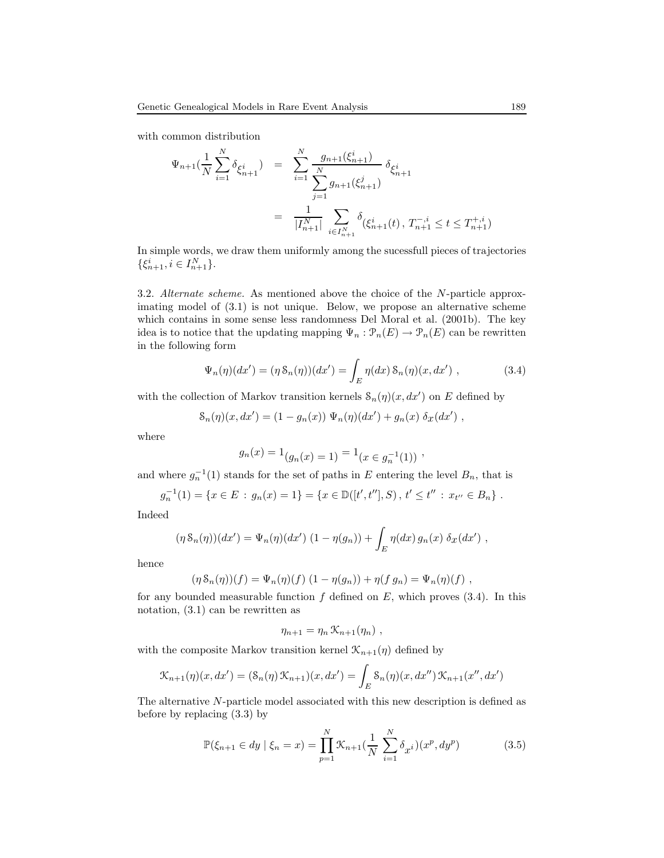with common distribution

$$
\Psi_{n+1}(\frac{1}{N}\sum_{i=1}^{N}\delta_{\xi_{n+1}^{i}}) = \sum_{i=1}^{N}\frac{g_{n+1}(\xi_{n+1}^{i})}{\sum_{j=1}^{N}g_{n+1}(\xi_{n+1}^{j})}\delta_{\xi_{n+1}^{i}}
$$

$$
= \frac{1}{|I_{n+1}^{N}|}\sum_{i\in I_{n+1}^{N}}\delta_{(\xi_{n+1}^{i}(t), T_{n+1}^{-, i})} \leq t \leq T_{n+1}^{+,i}
$$

In simple words, we draw them uniformly among the sucessfull pieces of trajectories  $\{\xi_{n+1}^i, i \in I_{n+1}^N\}.$ 

3.2. Alternate scheme. As mentioned above the choice of the N-particle approximating model of (3.1) is not unique. Below, we propose an alternative scheme which contains in some sense less randomness Del Moral et al. (2001b). The key idea is to notice that the updating mapping  $\Psi_n : \mathcal{P}_n(E) \to \mathcal{P}_n(E)$  can be rewritten in the following form

$$
\Psi_n(\eta)(dx') = (\eta \, \mathcal{S}_n(\eta))(dx') = \int_E \eta(dx) \, \mathcal{S}_n(\eta)(x, dx') \;, \tag{3.4}
$$

with the collection of Markov transition kernels  $\mathcal{S}_n(\eta)(x, dx')$  on E defined by

$$
\mathcal{S}_n(\eta)(x, dx') = (1 - g_n(x)) \Psi_n(\eta)(dx') + g_n(x) \delta_x(dx') ,
$$

where

$$
g_n(x) = 1_{(g_n(x) = 1)} = 1_{(x \in g_n^{-1}(1))},
$$

and where  $g_n^{-1}(1)$  stands for the set of paths in E entering the level  $B_n$ , that is

$$
g_n^{-1}(1) = \{x \in E : g_n(x) = 1\} = \{x \in \mathbb{D}([t', t''], S), t' \le t'': x_{t''} \in B_n\}.
$$

Indeed

$$
(\eta S_n(\eta))(dx') = \Psi_n(\eta)(dx') (1 - \eta(g_n)) + \int_E \eta(dx) g_n(x) \delta_x(dx') ,
$$

hence

$$
(\eta S_n(\eta))(f) = \Psi_n(\eta)(f) (1 - \eta(g_n)) + \eta(f g_n) = \Psi_n(\eta)(f) ,
$$

for any bounded measurable function  $f$  defined on  $E$ , which proves (3.4). In this notation, (3.1) can be rewritten as

$$
\eta_{n+1} = \eta_n \, \mathcal{K}_{n+1}(\eta_n) \ ,
$$

with the composite Markov transition kernel  $\mathcal{K}_{n+1}(\eta)$  defined by

$$
\mathcal{K}_{n+1}(\eta)(x, dx') = (\mathcal{S}_n(\eta) \mathcal{K}_{n+1})(x, dx') = \int_E \mathcal{S}_n(\eta)(x, dx'') \mathcal{K}_{n+1}(x'', dx')
$$

The alternative N-particle model associated with this new description is defined as before by replacing (3.3) by

$$
\mathbb{P}(\xi_{n+1} \in dy \mid \xi_n = x) = \prod_{p=1}^{N} \mathcal{K}_{n+1}(\frac{1}{N} \sum_{i=1}^{N} \delta_{x^i})(x^p, dy^p)
$$
(3.5)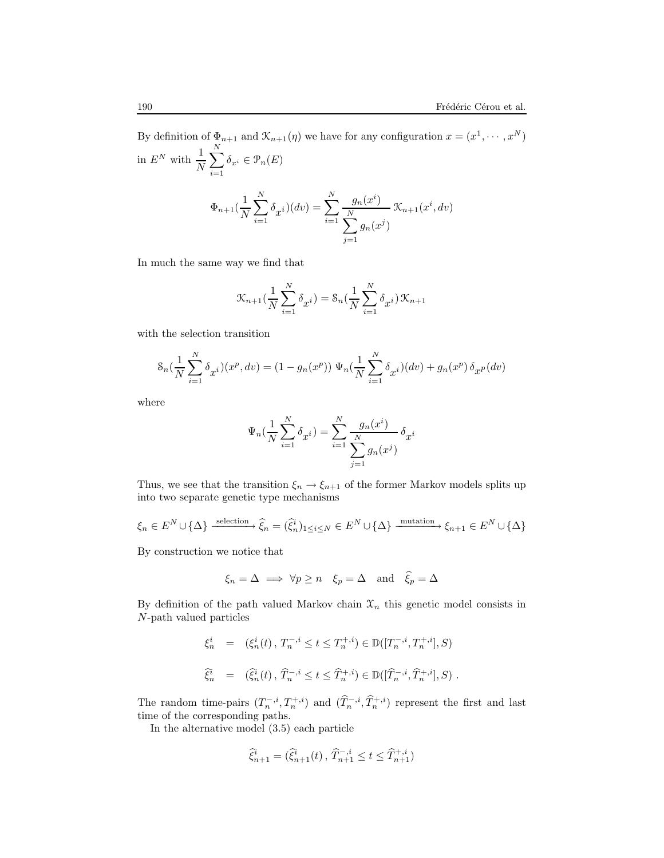By definition of  $\Phi_{n+1}$  and  $\mathcal{K}_{n+1}(\eta)$  we have for any configuration  $x = (x^1, \dots, x^N)$ in  $E^N$  with  $\frac{1}{N}$  $\stackrel{N}{\blacklozenge}$  $\sum_{i=1} \delta_{x^i} \in \mathcal{P}_n(E)$  $\Phi_{n+1}(\frac{1}{\lambda})$ N  $\stackrel{N}{\blacklozenge}$  $i=1$  $\delta_{x^i}(dv) = \sum_{n=1}^{N}$  $i=1$  $g_n(x^i)$  $\stackrel{N}{\blacklozenge}$  $j=1$  $g_n(x^j)$  $\mathcal{K}_{n+1}(x^i, dv)$ 

In much the same way we find that

$$
\mathcal{K}_{n+1}(\frac{1}{N}\sum_{i=1}^{N}\delta_{x^{i}}) = \mathcal{S}_{n}(\frac{1}{N}\sum_{i=1}^{N}\delta_{x^{i}}) \mathcal{K}_{n+1}
$$

with the selection transition

$$
\mathcal{S}_n\left(\frac{1}{N}\sum_{i=1}^N \delta_{x^i}\right)(x^p, dv) = (1 - g_n(x^p)) \Psi_n\left(\frac{1}{N}\sum_{i=1}^N \delta_{x^i}\right)(dv) + g_n(x^p) \delta_{x^p}(dv)
$$

where

$$
\Psi_n(\frac{1}{N}\sum_{i=1}^N \delta_{x^i}) = \sum_{i=1}^N \frac{g_n(x^i)}{\sum_{j=1}^N g_n(x^j)} \delta_{x^i}
$$

Thus, we see that the transition  $\xi_n \to \xi_{n+1}$  of the former Markov models splits up into two separate genetic type mechanisms

$$
\xi_n \in E^N \cup \{\Delta\} \xrightarrow{\text{ selection}} \hat{\xi}_n = (\hat{\xi}_n^i)_{1 \leq i \leq N} \in E^N \cup \{\Delta\} \xrightarrow{\text{mutation}} \xi_{n+1} \in E^N \cup \{\Delta\}
$$

By construction we notice that

$$
\xi_n = \Delta \implies \forall p \ge n \quad \xi_p = \Delta \text{ and } \hat{\xi}_p = \Delta
$$

By definition of the path valued Markov chain  $\mathfrak{X}_n$  this genetic model consists in N-path valued particles

$$
\xi_n^i = (\xi_n^i(t), T_n^{-,i} \le t \le T_n^{+,i}) \in \mathbb{D}([T_n^{-,i}, T_n^{+,i}], S)
$$
  

$$
\widehat{\xi}_n^i = (\widehat{\xi}_n^i(t), \widehat{T}_n^{-,i} \le t \le \widehat{T}_n^{+,i}) \in \mathbb{D}([\widehat{T}_n^{-,i}, \widehat{T}_n^{+,i}], S).
$$

The random time-pairs  $(T_n^{-,i}, T_n^{+,i})$  and  $(\hat{T}_n^{-,i}, \hat{T}_n^{+,i})$  represent the first and last time of the corresponding paths.

In the alternative model (3.5) each particle

$$
\widehat{\xi}_{n+1}^i = (\widehat{\xi}_{n+1}^i(t), \widehat{T}_{n+1}^{-,i} \le t \le \widehat{T}_{n+1}^{+,i})
$$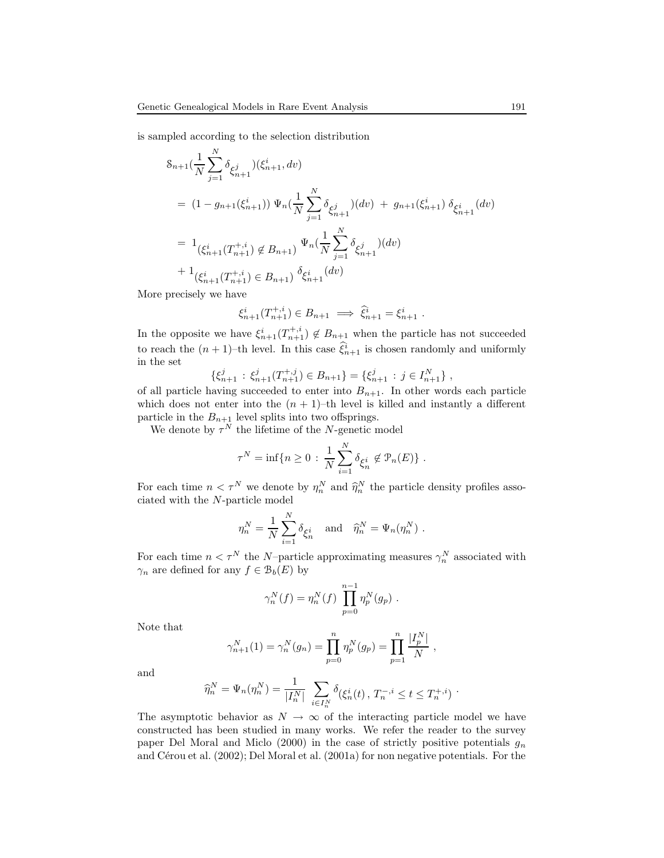is sampled according to the selection distribution

$$
\begin{split} & \delta_{n+1}(\frac{1}{N}\sum_{j=1}^{N}\delta_{\xi_{n+1}^{j}})(\xi_{n+1}^{i},dv) \\ &= (1-g_{n+1}(\xi_{n+1}^{i}))\,\Psi_{n}(\frac{1}{N}\sum_{j=1}^{N}\delta_{\xi_{n+1}^{j}})(dv) \,+\, g_{n+1}(\xi_{n+1}^{i})\,\delta_{\xi_{n+1}^{i}}(dv) \\ &= 1_{\left(\xi_{n+1}^{i}(T_{n+1}^{+,i})\notin B_{n+1}\right)}\,\Psi_{n}(\frac{1}{N}\sum_{j=1}^{N}\delta_{\xi_{n+1}^{j}})(dv) \\ &+ 1_{\left(\xi_{n+1}^{i}(T_{n+1}^{+,i})\in B_{n+1}\right)}\,\delta_{\xi_{n+1}^{i}}(dv) \end{split}
$$

More precisely we have

$$
\xi_{n+1}^i(T_{n+1}^{+,i}) \in B_{n+1} \implies \hat{\xi}_{n+1}^i = \xi_{n+1}^i.
$$

In the opposite we have  $\xi_{n+1}^i(T_{n+1}^{+,i}) \notin B_{n+1}$  when the particle has not succeeded to reach the  $(n + 1)$ -th level. In this case  $\hat{\xi}_{n+1}^i$  is chosen randomly and uniformly in the set

$$
\{\xi_{n+1}^j : \xi_{n+1}^j(T_{n+1}^{+,j}) \in B_{n+1}\} = \{\xi_{n+1}^j : j \in I_{n+1}^N\},\
$$

of all particle having succeeded to enter into  $B_{n+1}$ . In other words each particle which does not enter into the  $(n + 1)$ –th level is killed and instantly a different particle in the  $B_{n+1}$  level splits into two offsprings.

We denote by  $\tau^N$  the lifetime of the N-genetic model

$$
\tau^N = \inf \{ n \ge 0 : \frac{1}{N} \sum_{i=1}^N \delta_{\xi_n^i} \notin \mathcal{P}_n(E) \}.
$$

For each time  $n < \tau^N$  we denote by  $\eta_n^N$  and  $\widehat{\eta}_n^N$  the particle density profiles associated with the M nortial model ciated with the N-particle model

$$
\eta_n^N = \frac{1}{N} \sum_{i=1}^N \delta_{\xi_n^i} \quad \text{and} \quad \widehat{\eta}_n^N = \Psi_n(\eta_n^N) .
$$

For each time  $n < \tau^N$  the N-particle approximating measures  $\gamma_n^N$  associated with  $\gamma_n$  are defined for any  $f \in \mathcal{B}_b(E)$  by

$$
\gamma_n^N(f) = \eta_n^N(f) \prod_{p=0}^{n-1} \eta_p^N(g_p) .
$$

Note that

$$
\gamma_{n+1}^N(1) = \gamma_n^N(g_n) = \prod_{p=0}^n \eta_p^N(g_p) = \prod_{p=1}^n \frac{|I_p^N|}{N},
$$

and

$$
\widehat{\eta}_n^N = \Psi_n(\eta_n^N) = \frac{1}{|I_n^N|} \sum_{i \in I_n^N} \delta(\xi_n^i(t), T_n^{-,i} \le t \le T_n^{+,i})
$$

The asymptotic behavior as  $N \to \infty$  of the interacting particle model we have constructed has been studied in many works. We refer the reader to the survey paper Del Moral and Miclo (2000) in the case of strictly positive potentials  $g_n$ and Cérou et al.  $(2002)$ ; Del Moral et al.  $(2001a)$  for non negative potentials. For the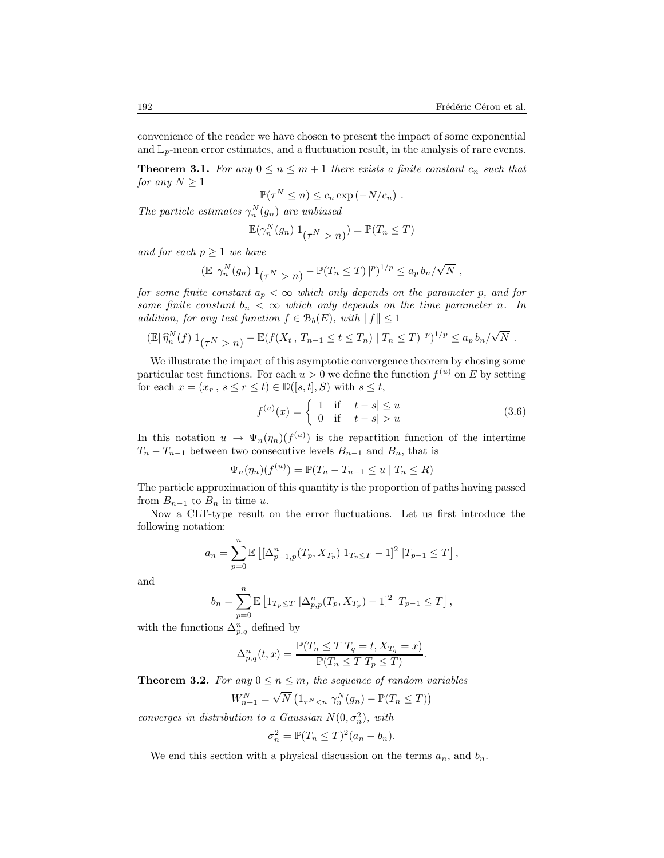convenience of the reader we have chosen to present the impact of some exponential and  $\mathbb{L}_p$ -mean error estimates, and a fluctuation result, in the analysis of rare events.

**Theorem 3.1.** For any  $0 \le n \le m+1$  there exists a finite constant  $c_n$  such that for any  $N \geq 1$ 

$$
\mathbb{P}(\tau^N \leq n) \leq c_n \exp(-N/c_n) .
$$

The particle estimates  $\gamma_n^N(g_n)$  are unbiased

$$
\mathbb{E}(\gamma_n^N(g_n) 1_{(\tau^N > n)}) = \mathbb{P}(T_n \le T)
$$

and for each  $p \geq 1$  we have

$$
(\mathbb{E}|\,\gamma_n^N(g_n)\,1_{(\tau^N > n)} - \mathbb{P}(T_n \leq T)\,|_p^p)^{1/p} \leq a_p\,b_n/\sqrt{N}\,,
$$

for some finite constant  $a_p < \infty$  which only depends on the parameter p, and for some finite constant  $b_n < \infty$  which only depends on the time parameter n. In addition, for any test function  $f \in \mathcal{B}_b(E)$ , with  $||f|| \leq 1$ 

$$
(\mathbb{E}|\,\widehat{\eta}_n^N(f)\,1_{(\tau^N > n)} - \mathbb{E}(f(X_t, T_{n-1} \le t \le T_n) \,|\, T_n \le T)\,|^{p})^{1/p} \le a_p b_n / \sqrt{N} \;.
$$

We illustrate the impact of this asymptotic convergence theorem by chosing some particular test functions. For each  $u > 0$  we define the function  $f^{(u)}$  on E by setting for each  $x = (x_r, s \le r \le t) \in \mathbb{D}([s,t], S)$  with  $s \le t$ ,

$$
f^{(u)}(x) = \begin{cases} 1 & \text{if } |t - s| \le u \\ 0 & \text{if } |t - s| > u \end{cases}
$$
 (3.6)

.

In this notation  $u \to \Psi_n(\eta_n)(f^{(u)})$  is the repartition function of the intertime  $T_n - T_{n-1}$  between two consecutive levels  $B_{n-1}$  and  $B_n$ , that is

$$
\Psi_n(\eta_n)(f^{(u)}) = \mathbb{P}(T_n - T_{n-1} \le u \mid T_n \le R)
$$

The particle approximation of this quantity is the proportion of paths having passed from  $B_{n-1}$  to  $B_n$  in time u.

Now a CLT-type result on the error fluctuations. Let us first introduce the following notation:

$$
a_n = \sum_{p=0}^n \mathbb{E} \left[ \left[ \Delta_{p-1,p}^n(T_p, X_{T_p}) \ 1_{T_p \le T} - 1 \right]^2 \ | T_{p-1} \le T \right],
$$

and

$$
b_n = \sum_{p=0}^n \mathbb{E} \left[ 1_{T_p \le T} \left[ \Delta_{p,p}^n(T_p, X_{T_p}) - 1 \right]^2 | T_{p-1} \le T \right],
$$

with the functions  $\Delta_{p,q}^n$  defined by

$$
\Delta_{p,q}^n(t,x)=\frac{\mathbb{P}(T_n\leq T|T_q=t,X_{T_q}=x)}{\mathbb{P}(T_n\leq T|T_p\leq T)}
$$

**Theorem 3.2.** For any  $0 \le n \le m$ , the sequence of random variables

$$
W_{n+1}^N = \sqrt{N} \left( 1_{\tau^N < n} \gamma_n^N(g_n) - \mathbb{P}(T_n \le T) \right)
$$

converges in distribution to a Gaussian  $N(0, \sigma_n^2)$ , with

$$
\sigma_n^2 = \mathbb{P}(T_n \leq T)^2 (a_n - b_n).
$$

We end this section with a physical discussion on the terms  $a_n$ , and  $b_n$ .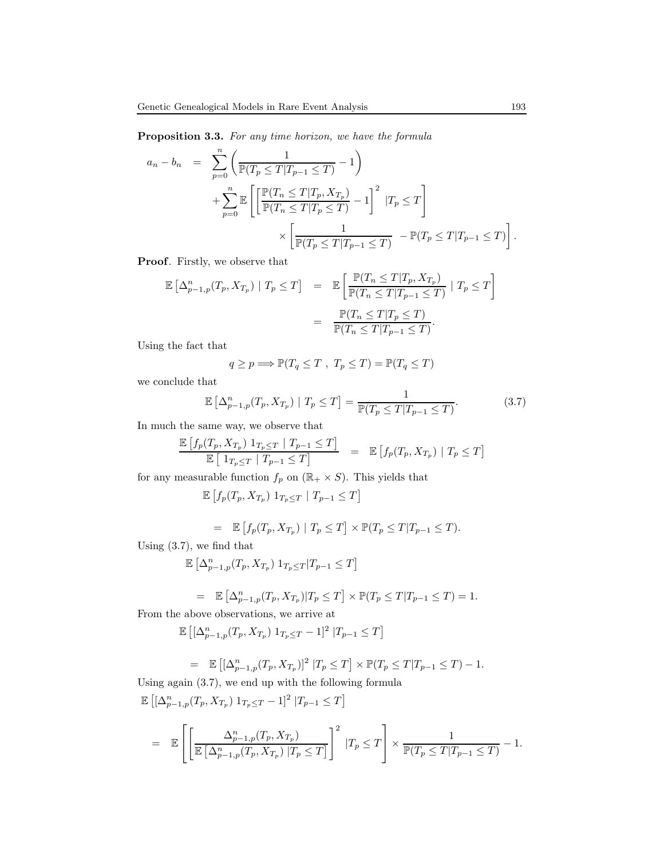Proposition 3.3. For any time horizon, we have the formula

$$
a_n - b_n = \sum_{p=0}^n \left( \frac{1}{\mathbb{P}(T_p \le T | T_{p-1} \le T)} - 1 \right)
$$
  
+ 
$$
\sum_{p=0}^n \mathbb{E} \left[ \left[ \frac{\mathbb{P}(T_n \le T | T_p, X_{T_p})}{\mathbb{P}(T_n \le T | T_p \le T)} - 1 \right]^2 | T_p \le T \right]
$$
  

$$
\times \left[ \frac{1}{\mathbb{P}(T_p \le T | T_{p-1} \le T)} - \mathbb{P}(T_p \le T | T_{p-1} \le T) \right].
$$

Proof. Firstly, we observe that

$$
\mathbb{E}\left[\Delta_{p-1,p}^n(T_p, X_{T_p}) \mid T_p \le T\right] = \mathbb{E}\left[\frac{\mathbb{P}(T_n \le T | T_p, X_{T_p})}{\mathbb{P}(T_n \le T | T_{p-1} \le T)} \mid T_p \le T\right]
$$

$$
= \frac{\mathbb{P}(T_n \le T | T_p \le T)}{\mathbb{P}(T_n \le T | T_{p-1} \le T)}.
$$

Using the fact that

$$
q \ge p \Longrightarrow \mathbb{P}(T_q \le T \ , \ T_p \le T) = \mathbb{P}(T_q \le T)
$$

we conclude that

$$
\mathbb{E}\left[\Delta_{p-1,p}^n(T_p, X_{T_p}) \mid T_p \le T\right] = \frac{1}{\mathbb{P}(T_p \le T | T_{p-1} \le T)}.\tag{3.7}
$$

In much the same way, we observe that

$$
\frac{\mathbb{E}\left[f_p(T_p, X_{T_p}) \ 1_{T_p \leq T} \mid T_{p-1} \leq T\right]}{\mathbb{E}\left[\ 1_{T_p \leq T} \mid T_{p-1} \leq T\right]} \quad = \quad \mathbb{E}\left[f_p(T_p, X_{T_p}) \mid T_p \leq T\right]
$$

for any measurable function  $f_p$  on  $(\mathbb{R}_+\times S).$  This yields that

$$
\mathbb{E}\left[f_p(T_p, X_{T_p}) \mathbf{1}_{T_p \leq T} \mid T_{p-1} \leq T\right]
$$

$$
= \mathbb{E}\left[f_p(T_p, X_{T_p}) \mid T_p \leq T\right] \times \mathbb{P}(T_p \leq T | T_{p-1} \leq T).
$$

Using (3.7), we find that

$$
\mathbb{E}\left[\Delta_{p-1,p}^n(T_p,X_{T_p})\; 1_{T_p \leq T} | T_{p-1} \leq T \right]
$$

$$
= \mathbb{E} \left[ \Delta_{p-1,p}^n(T_p, X_{T_p}) | T_p \le T \right] \times \mathbb{P}(T_p \le T | T_{p-1} \le T) = 1.
$$

From the above observations, we arrive at

$$
\mathbb{E}\left[ [\Delta_{p-1,p}^n(T_p, X_{T_p}) \; 1_{T_p \le T} - 1]^2 \; | T_{p-1} \le T \right]
$$

$$
= \mathbb{E} [[\Delta_{p-1,p}^n(T_p, X_{T_p})]^2 | T_p \le T] \times \mathbb{P}(T_p \le T | T_{p-1} \le T) - 1.
$$

Using again (3.7), we end up with the following formula

$$
\mathbb{E}\left[\left[\Delta_{p-1,p}^n(T_p, X_{T_p}) \ 1_{T_p \leq T} - 1\right]^2 | T_{p-1} \leq T\right]
$$
\n
$$
= \mathbb{E}\left[\left[\frac{\Delta_{p-1,p}^n(T_p, X_{T_p})}{\mathbb{E}\left[\Delta_{p-1,p}^n(T_p, X_{T_p}) | T_p \leq T\right]}\right]^2 | T_p \leq T\right] \times \frac{1}{\mathbb{P}(T_p \leq T | T_{p-1} \leq T)} - 1.
$$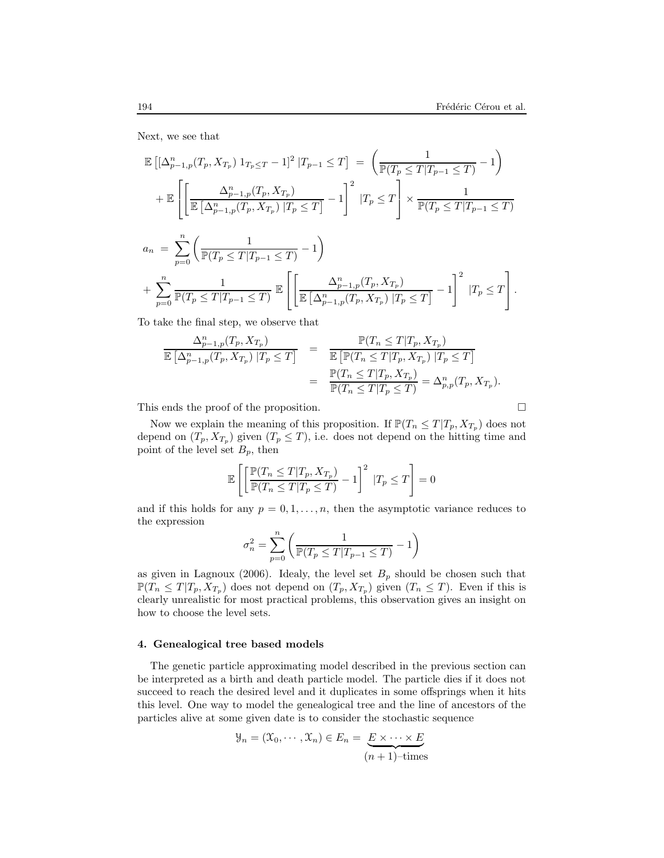Next, we see that

$$
\mathbb{E}\left[\left[\Delta_{p-1,p}^{n}(T_{p},X_{T_{p}})1_{T_{p}\leq T}-1\right]^{2}|T_{p-1}\leq T\right] = \left(\frac{1}{\mathbb{P}(T_{p}\leq T|T_{p-1}\leq T)}-1\right)
$$
  
+ 
$$
\mathbb{E}\left[\left[\frac{\Delta_{p-1,p}^{n}(T_{p},X_{T_{p}})}{\mathbb{E}\left[\Delta_{p-1,p}^{n}(T_{p},X_{T_{p}})|T_{p}\leq T\right]}-1\right]^{2}|T_{p}\leq T\right] \times \frac{1}{\mathbb{P}(T_{p}\leq T|T_{p-1}\leq T)}
$$
  

$$
a_{n} = \sum_{p=0}^{n}\left(\frac{1}{\mathbb{P}(T_{p}\leq T|T_{p-1}\leq T)}-1\right)
$$
  
+ 
$$
\sum_{p=0}^{n}\frac{1}{\mathbb{P}(T_{p}\leq T|T_{p-1}\leq T)}\mathbb{E}\left[\left[\frac{\Delta_{p-1,p}^{n}(T_{p},X_{T_{p}})}{\mathbb{E}\left[\Delta_{p-1,p}^{n}(T_{p},X_{T_{p}})|T_{p}\leq T\right]}-1\right]^{2}|T_{p}\leq T\right].
$$

To take the final step, we observe that

$$
\frac{\Delta_{p-1,p}^n(T_p, X_{T_p})}{\mathbb{E} \left[\Delta_{p-1,p}^n(T_p, X_{T_p}) \mid T_p \leq T\right]} = \frac{\mathbb{P}(T_n \leq T | T_p, X_{T_p})}{\mathbb{E} \left[\mathbb{P}(T_n \leq T | T_p, X_{T_p}) \mid T_p \leq T\right]} = \frac{\mathbb{P}(T_n \leq T | T_p, X_{T_p})}{\mathbb{P}(T_n \leq T | T_p \leq T)} = \Delta_{p,p}^n(T_p, X_{T_p}).
$$

This ends the proof of the proposition.

Now we explain the meaning of this proposition. If  $\mathbb{P}(T_n \leq T | T_p, X_{T_p})$  does not depend on  $(T_p, X_{T_p})$  given  $(T_p \leq T)$ , i.e. does not depend on the hitting time and point of the level set  $B_p$ , then

$$
\mathbb{E}\left[\left[\frac{\mathbb{P}(T_n \leq T | T_p, X_{T_p})}{\mathbb{P}(T_n \leq T | T_p \leq T)} - 1\right]^2 | T_p \leq T\right] = 0
$$

and if this holds for any  $p = 0, 1, \ldots, n$ , then the asymptotic variance reduces to the expression

$$
\sigma_n^2 = \sum_{p=0}^n \left( \frac{1}{\mathbb{P}(T_p \leq T | T_{p-1} \leq T)} - 1 \right)
$$

as given in Lagnoux (2006). Idealy, the level set  $B_p$  should be chosen such that  $\mathbb{P}(T_n \leq T | T_p, X_{T_p})$  does not depend on  $(T_p, X_{T_p})$  given  $(T_n \leq T)$ . Even if this is clearly unrealistic for most practical problems, this observation gives an insight on how to choose the level sets.

### 4. Genealogical tree based models

The genetic particle approximating model described in the previous section can be interpreted as a birth and death particle model. The particle dies if it does not succeed to reach the desired level and it duplicates in some offsprings when it hits this level. One way to model the genealogical tree and the line of ancestors of the particles alive at some given date is to consider the stochastic sequence

$$
\mathcal{Y}_n = (\mathcal{X}_0, \cdots, \mathcal{X}_n) \in E_n = \underbrace{E \times \cdots \times E}_{(n+1)-\text{times}}
$$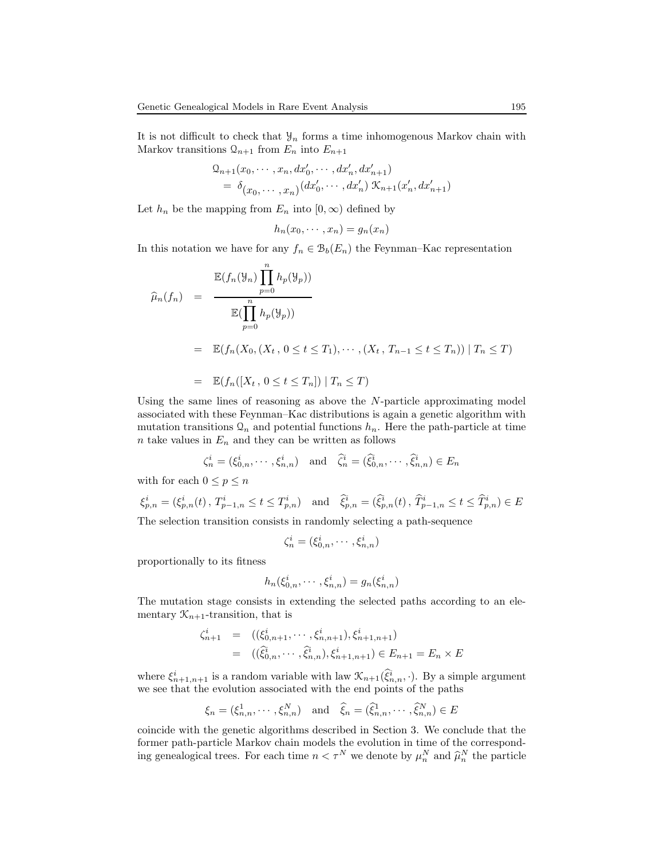It is not difficult to check that  $\mathcal{Y}_n$  forms a time inhomogenous Markov chain with Markov transitions  $\mathcal{Q}_{n+1}$  from  $E_n$  into  $E_{n+1}$ 

$$
Q_{n+1}(x_0, \dots, x_n, dx'_0, \dots, dx'_n, dx'_{n+1})
$$
  
=  $\delta_{(x_0, \dots, x_n)}(dx'_0, \dots, dx'_n) \mathcal{K}_{n+1}(x'_n, dx'_{n+1})$ 

Let  $h_n$  be the mapping from  $E_n$  into  $[0, \infty)$  defined by

$$
h_n(x_0,\dots,x_n)=g_n(x_n)
$$

In this notation we have for any  $f_n \in \mathcal{B}_b(E_n)$  the Feynman–Kac representation

$$
\widehat{\mu}_n(f_n) = \frac{\mathbb{E}(f_n(\mathcal{Y}_n) \prod_{p=0}^n h_p(\mathcal{Y}_p))}{\mathbb{E}(\prod_{p=0}^n h_p(\mathcal{Y}_p))}
$$
\n
$$
= \mathbb{E}(f_n(X_0, (X_t, 0 \le t \le T_1), \cdots, (X_t, T_{n-1} \le t \le T_n)) | T_n \le T)
$$
\n
$$
= \mathbb{E}(f_n([X_t, 0 \le t \le T_n]) | T_n \le T)
$$

Using the same lines of reasoning as above the  $N$ -particle approximating model associated with these Feynman–Kac distributions is again a genetic algorithm with mutation transitions  $\mathcal{Q}_n$  and potential functions  $h_n$ . Here the path-particle at time  $n$  take values in  $E_n$  and they can be written as follows

$$
\zeta_n^i = (\xi_{0,n}^i, \cdots, \xi_{n,n}^i) \quad \text{and} \quad \widehat{\zeta}_n^i = (\widehat{\xi}_{0,n}^i, \cdots, \widehat{\xi}_{n,n}^i) \in E_n
$$

with for each  $0 \leq p \leq n$ 

$$
\xi_{p,n}^i = (\xi_{p,n}^i(t), T_{p-1,n}^i \le t \le T_{p,n}^i) \text{ and } \widehat{\xi}_{p,n}^i = (\widehat{\xi}_{p,n}^i(t), \widehat{T}_{p-1,n}^i \le t \le \widehat{T}_{p,n}^i) \in E
$$

The selection transition consists in randomly selecting a path-sequence

$$
\zeta_n^i = (\xi_{0,n}^i, \cdots, \xi_{n,n}^i)
$$

proportionally to its fitness

$$
h_n(\xi_{0,n}^i, \cdots, \xi_{n,n}^i) = g_n(\xi_{n,n}^i)
$$

The mutation stage consists in extending the selected paths according to an elementary  $\mathcal{K}_{n+1}$ -transition, that is

$$
\begin{array}{rcl}\n\zeta_{n+1}^i & = & ((\xi_{0,n+1}^i, \cdots, \xi_{n,n+1}^i), \xi_{n+1,n+1}^i) \\
& = & ((\widehat{\xi}_{0,n}^i, \cdots, \widehat{\xi}_{n,n}^i), \xi_{n+1,n+1}^i) \in E_{n+1} = E_n \times E\n\end{array}
$$

where  $\xi_{n+1,n+1}^i$  is a random variable with law  $\mathcal{K}_{n+1}(\hat{\xi}_{n,n}^i, \cdot)$ . By a simple argument we see that the evolution associated with the end points of the paths

$$
\xi_n = (\xi_{n,n}^1, \dots, \xi_{n,n}^N)
$$
 and  $\widehat{\xi}_n = (\widehat{\xi}_{n,n}^1, \dots, \widehat{\xi}_{n,n}^N) \in E$ 

coincide with the genetic algorithms described in Section 3. We conclude that the former path-particle Markov chain models the evolution in time of the corresponding genealogical trees. For each time  $n < \tau^N$  we denote by  $\mu_n^N$  and  $\widehat{\mu}_n^N$  the particle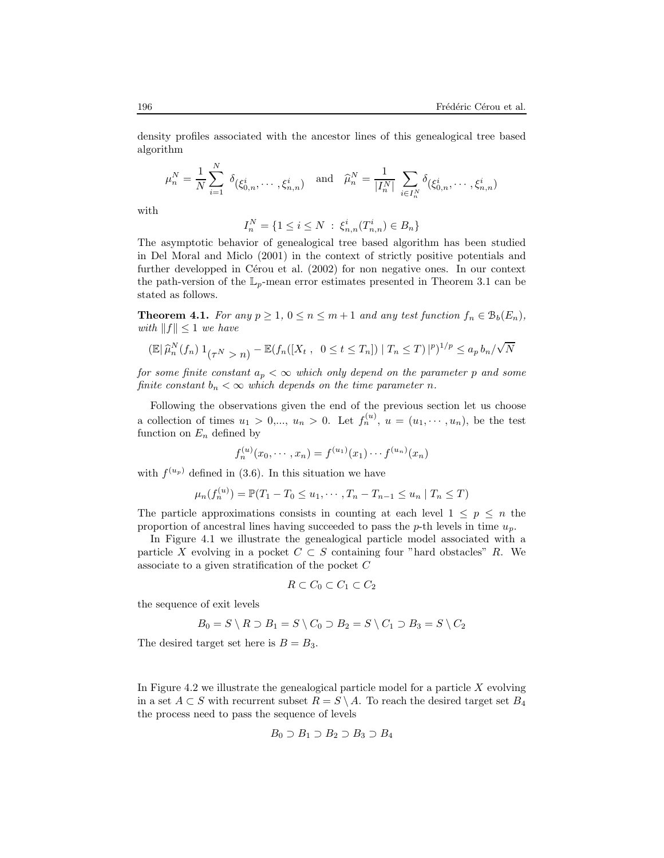density profiles associated with the ancestor lines of this genealogical tree based algorithm

$$
\mu_n^N = \frac{1}{N} \sum_{i=1}^N \delta_{(\xi_{0,n}^i, \dots, \xi_{n,n}^i)} \text{ and } \hat{\mu}_n^N = \frac{1}{|I_n^N|} \sum_{i \in I_n^N} \delta_{(\xi_{0,n}^i, \dots, \xi_{n,n}^i)}
$$

with

$$
I_n^N = \{ 1 \le i \le N \; : \; \xi_{n,n}^i(T_{n,n}^i) \in B_n \}
$$

The asymptotic behavior of genealogical tree based algorithm has been studied in Del Moral and Miclo (2001) in the context of strictly positive potentials and further developped in Cérou et al.  $(2002)$  for non negative ones. In our context the path-version of the  $\mathbb{L}_p$ -mean error estimates presented in Theorem 3.1 can be stated as follows.

**Theorem 4.1.** For any  $p \ge 1$ ,  $0 \le n \le m+1$  and any test function  $f_n \in B_b(E_n)$ , with  $||f|| \leq 1$  we have

$$
\left(\mathbb{E}\,|\,\widehat{\mu}_n^N(f_n)\,1_{\{ \tau^N > n\}} - \mathbb{E}(f_n([X_t , 0 \le t \le T_n]) \mid T_n \le T)\,|^p\right)^{1/p} \le a_p\, b_n/\sqrt{N}
$$

for some finite constant  $a_p < \infty$  which only depend on the parameter p and some finite constant  $b_n < \infty$  which depends on the time parameter n.

Following the observations given the end of the previous section let us choose a collection of times  $u_1 > 0, \ldots, u_n > 0$ . Let  $f_n^{(u)}$ ,  $u = (u_1, \dots, u_n)$ , be the test function on  $E_n$  defined by

$$
f_n^{(u)}(x_0, \dots, x_n) = f^{(u_1)}(x_1) \dots f^{(u_n)}(x_n)
$$

with  $f^{(u_p)}$  defined in (3.6). In this situation we have

$$
\mu_n(f_n^{(u)}) = \mathbb{P}(T_1 - T_0 \le u_1, \cdots, T_n - T_{n-1} \le u_n \mid T_n \le T)
$$

The particle approximations consists in counting at each level  $1 \leq p \leq n$  the proportion of ancestral lines having succeeded to pass the  $p$ -th levels in time  $u_p$ .

In Figure 4.1 we illustrate the genealogical particle model associated with a particle X evolving in a pocket  $C \subset S$  containing four "hard obstacles" R. We associate to a given stratification of the pocket C

$$
R \subset C_0 \subset C_1 \subset C_2
$$

the sequence of exit levels

$$
B_0 = S \setminus R \supset B_1 = S \setminus C_0 \supset B_2 = S \setminus C_1 \supset B_3 = S \setminus C_2
$$

The desired target set here is  $B = B_3$ .

In Figure 4.2 we illustrate the genealogical particle model for a particle  $X$  evolving in a set  $A \subset S$  with recurrent subset  $R = S \setminus A$ . To reach the desired target set  $B_4$ the process need to pass the sequence of levels

$$
B_0 \supset B_1 \supset B_2 \supset B_3 \supset B_4
$$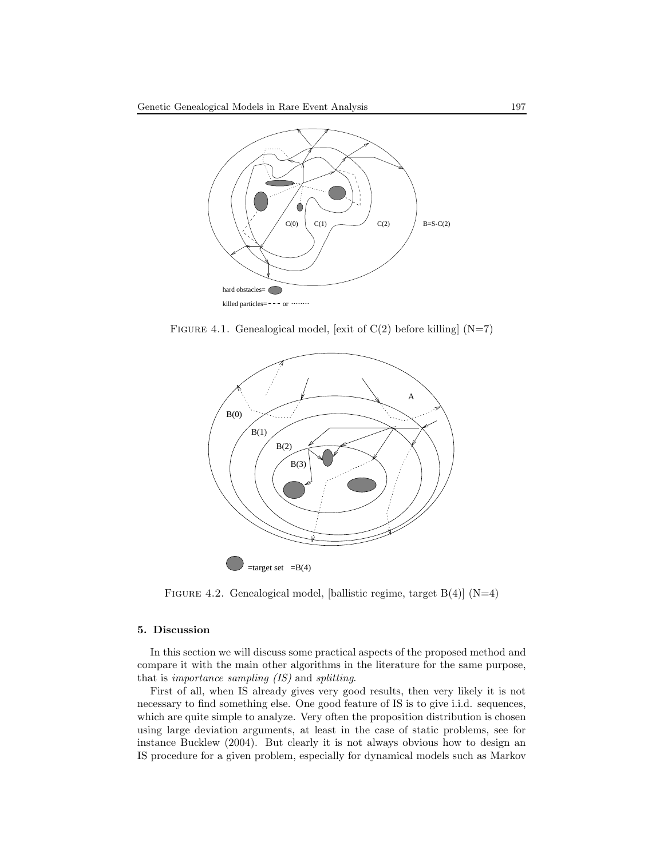

FIGURE 4.1. Genealogical model, [exit of  $C(2)$  before killing]  $(N=7)$ 



FIGURE 4.2. Genealogical model, [ballistic regime, target  $B(4)$ ] (N=4)

# 5. Discussion

In this section we will discuss some practical aspects of the proposed method and compare it with the main other algorithms in the literature for the same purpose, that is importance sampling (IS) and splitting.

First of all, when IS already gives very good results, then very likely it is not necessary to find something else. One good feature of IS is to give i.i.d. sequences, which are quite simple to analyze. Very often the proposition distribution is chosen using large deviation arguments, at least in the case of static problems, see for instance Bucklew (2004). But clearly it is not always obvious how to design an IS procedure for a given problem, especially for dynamical models such as Markov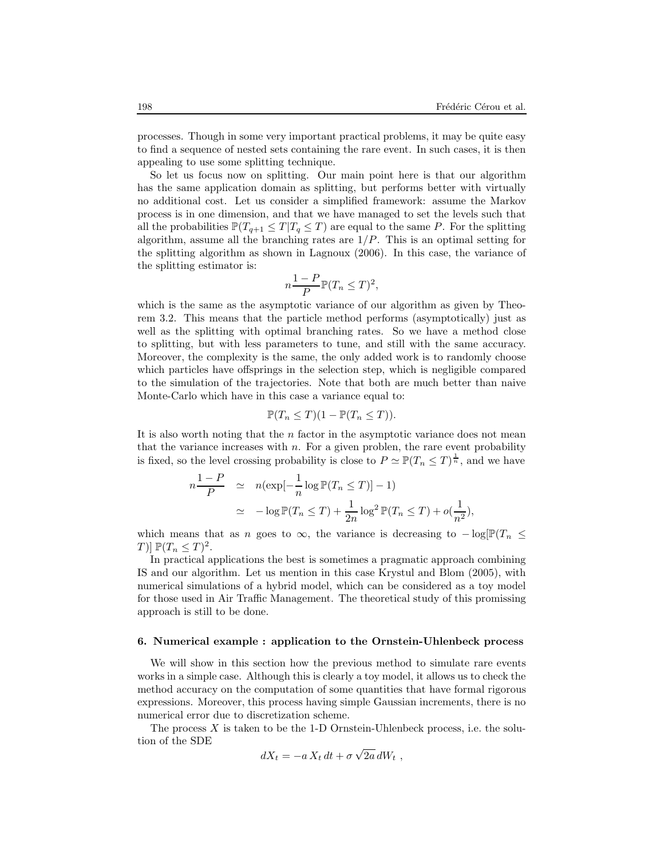processes. Though in some very important practical problems, it may be quite easy to find a sequence of nested sets containing the rare event. In such cases, it is then appealing to use some splitting technique.

So let us focus now on splitting. Our main point here is that our algorithm has the same application domain as splitting, but performs better with virtually no additional cost. Let us consider a simplified framework: assume the Markov process is in one dimension, and that we have managed to set the levels such that all the probabilities  $\mathbb{P}(T_{q+1} \leq T | T_q \leq T)$  are equal to the same P. For the splitting algorithm, assume all the branching rates are  $1/P$ . This is an optimal setting for the splitting algorithm as shown in Lagnoux (2006). In this case, the variance of the splitting estimator is:

$$
n\frac{1-P}{P}\mathbb{P}(T_n \leq T)^2,
$$

which is the same as the asymptotic variance of our algorithm as given by Theorem 3.2. This means that the particle method performs (asymptotically) just as well as the splitting with optimal branching rates. So we have a method close to splitting, but with less parameters to tune, and still with the same accuracy. Moreover, the complexity is the same, the only added work is to randomly choose which particles have offsprings in the selection step, which is negligible compared to the simulation of the trajectories. Note that both are much better than naive Monte-Carlo which have in this case a variance equal to:

$$
\mathbb{P}(T_n \leq T)(1 - \mathbb{P}(T_n \leq T)).
$$

It is also worth noting that the  $n$  factor in the asymptotic variance does not mean that the variance increases with  $n$ . For a given problem, the rare event probability is fixed, so the level crossing probability is close to  $P \simeq \mathbb{P}(T_n \leq T)^{\frac{1}{n}}$ , and we have

$$
n\frac{1-P}{P} \simeq n(\exp[-\frac{1}{n}\log \mathbb{P}(T_n \leq T)] - 1)
$$
  

$$
\simeq -\log \mathbb{P}(T_n \leq T) + \frac{1}{2n}\log^2 \mathbb{P}(T_n \leq T) + o(\frac{1}{n^2}),
$$

which means that as n goes to  $\infty$ , the variance is decreasing to  $-\log[\mathbb{P}(T_n \leq$ T)]  $\mathbb{P}(T_n \leq T)^2$ .

In practical applications the best is sometimes a pragmatic approach combining IS and our algorithm. Let us mention in this case Krystul and Blom (2005), with numerical simulations of a hybrid model, which can be considered as a toy model for those used in Air Traffic Management. The theoretical study of this promissing approach is still to be done.

# 6. Numerical example : application to the Ornstein-Uhlenbeck process

We will show in this section how the previous method to simulate rare events works in a simple case. Although this is clearly a toy model, it allows us to check the method accuracy on the computation of some quantities that have formal rigorous expressions. Moreover, this process having simple Gaussian increments, there is no numerical error due to discretization scheme.

The process  $X$  is taken to be the 1-D Ornstein-Uhlenbeck process, i.e. the solution of the SDE

$$
dX_t = -a X_t dt + \sigma \sqrt{2a} dW_t,
$$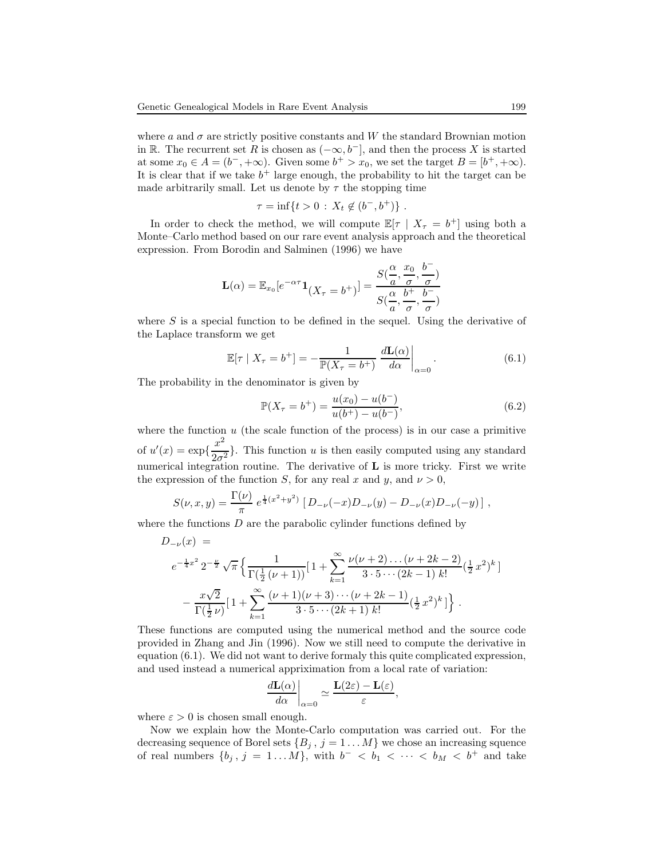where a and  $\sigma$  are strictly positive constants and W the standard Brownian motion in R. The recurrent set R is chosen as  $(-\infty, b^-]$ , and then the process X is started at some  $x_0 \in A = (b^-, +\infty)$ . Given some  $b^+ > x_0$ , we set the target  $B = [b^+, +\infty)$ . It is clear that if we take  $b^+$  large enough, the probability to hit the target can be made arbitrarily small. Let us denote by  $\tau$  the stopping time

$$
\tau = \inf\{t > 0 : X_t \notin (b^-, b^+)\}.
$$

In order to check the method, we will compute  $\mathbb{E}[\tau \mid X_{\tau} = b^{+}]$  using both a Monte–Carlo method based on our rare event analysis approach and the theoretical expression. From Borodin and Salminen (1996) we have

$$
\mathbf{L}(\alpha) = \mathbb{E}_{x_0} [e^{-\alpha \tau} \mathbf{1}_{\left(X_\tau = b^+\right)}] = \frac{S(\frac{\alpha}{a}, \frac{x_0}{\sigma}, \frac{b^-}{\sigma})}{S(\frac{\alpha}{a}, \frac{b^+}{\sigma}, \frac{b^-}{\sigma})}
$$

where  $S$  is a special function to be defined in the sequel. Using the derivative of the Laplace transform we get

$$
\mathbb{E}[\tau \mid X_{\tau} = b^{+}] = -\frac{1}{\mathbb{P}(X_{\tau} = b^{+})} \left. \frac{d\mathbf{L}(\alpha)}{d\alpha} \right|_{\alpha=0}.
$$
\n(6.1)

The probability in the denominator is given by

$$
\mathbb{P}(X_{\tau} = b^{+}) = \frac{u(x_{0}) - u(b^{-})}{u(b^{+}) - u(b^{-})},
$$
\n(6.2)

where the function  $u$  (the scale function of the process) is in our case a primitive of  $u'(x) = \exp\left\{\frac{x^2}{2\sigma^2}\right\}$  $\frac{1}{2\sigma^2}$ . This function u is then easily computed using any standard numerical integration routine. The derivative of **L** is more tricky. First we write the expression of the function S, for any real x and y, and  $\nu > 0$ ,

$$
S(\nu, x, y) = \frac{\Gamma(\nu)}{\pi} e^{\frac{1}{4}(x^2 + y^2)} [D_{-\nu}(-x)D_{-\nu}(y) - D_{-\nu}(x)D_{-\nu}(-y)],
$$

where the functions  $D$  are the parabolic cylinder functions defined by

$$
D_{-\nu}(x) =
$$
  
\n
$$
e^{-\frac{1}{4}x^2} 2^{-\frac{\nu}{2}} \sqrt{\pi} \left\{ \frac{1}{\Gamma(\frac{1}{2}(\nu+1))} [1 + \sum_{k=1}^{\infty} \frac{\nu(\nu+2) \dots (\nu+2k-2)}{3 \cdot 5 \cdots (2k-1) k!} (\frac{1}{2}x^2)^k \right\}
$$
  
\n
$$
- \frac{x\sqrt{2}}{\Gamma(\frac{1}{2}\nu)} [1 + \sum_{k=1}^{\infty} \frac{(\nu+1)(\nu+3) \cdots (\nu+2k-1)}{3 \cdot 5 \cdots (2k+1) k!} (\frac{1}{2}x^2)^k ] \right\}.
$$

These functions are computed using the numerical method and the source code provided in Zhang and Jin (1996). Now we still need to compute the derivative in equation (6.1). We did not want to derive formaly this quite complicated expression, and used instead a numerical appriximation from a local rate of variation:

$$
\left. \frac{d\mathbf{L}(\alpha)}{d\alpha} \right|_{\alpha=0} \simeq \frac{\mathbf{L}(2\varepsilon) - \mathbf{L}(\varepsilon)}{\varepsilon},
$$

where  $\varepsilon > 0$  is chosen small enough.

Now we explain how the Monte-Carlo computation was carried out. For the decreasing sequence of Borel sets  $\{B_j, j = 1...M\}$  we chose an increasing squence of real numbers  $\{b_j, j = 1...M\}$ , with  $b^- < b_1 < \cdots < b_M < b^+$  and take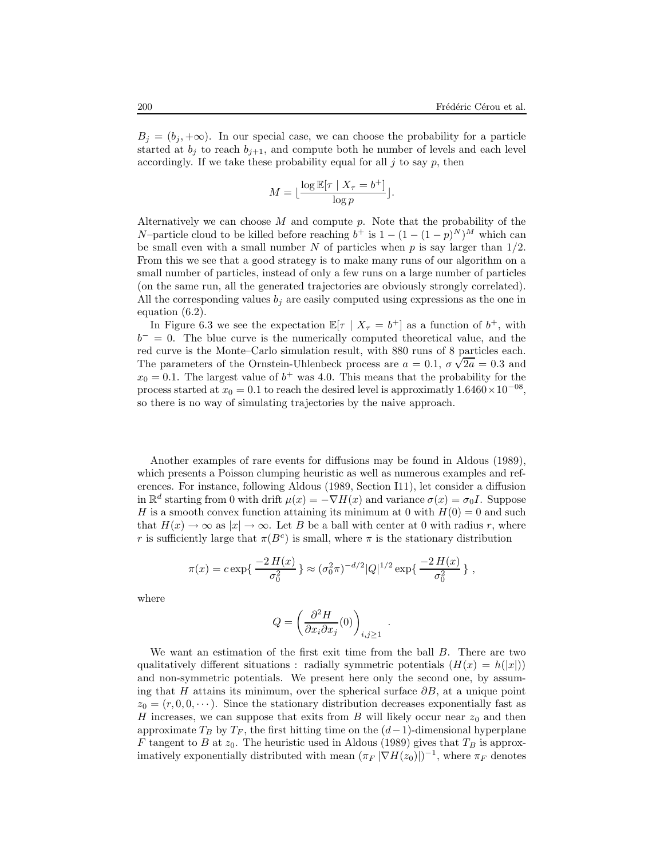$B_j = (b_j, +\infty)$ . In our special case, we can choose the probability for a particle started at  $b_i$  to reach  $b_{i+1}$ , and compute both he number of levels and each level accordingly. If we take these probability equal for all  $j$  to say  $p$ , then

$$
M = \lfloor \frac{\log \mathbb{E}[\tau \mid X_{\tau} = b^{+}]}{\log p} \rfloor.
$$

Alternatively we can choose  $M$  and compute  $p$ . Note that the probability of the N–particle cloud to be killed before reaching  $b^+$  is  $1 - (1 - (1 - p)^N)^M$  which can be small even with a small number  $N$  of particles when  $p$  is say larger than  $1/2$ . From this we see that a good strategy is to make many runs of our algorithm on a small number of particles, instead of only a few runs on a large number of particles (on the same run, all the generated trajectories are obviously strongly correlated). All the corresponding values  $b_j$  are easily computed using expressions as the one in equation (6.2).

In Figure 6.3 we see the expectation  $\mathbb{E}[\tau \mid X_{\tau} = b^{+}]$  as a function of  $b^{+}$ , with  $b^{-} = 0$ . The blue curve is the numerically computed theoretical value, and the red curve is the Monte–Carlo simulation result, with 880 runs of 8 particles each. The parameters of the Ornstein-Uhlenbeck process are  $a = 0.1$ ,  $\sigma \sqrt{2a} = 0.3$  and  $x_0 = 0.1$ . The largest value of  $b^+$  was 4.0. This means that the probability for the process started at  $x_0 = 0.1$  to reach the desired level is approximatly  $1.6460 \times 10^{-08}$ , so there is no way of simulating trajectories by the naive approach.

Another examples of rare events for diffusions may be found in Aldous (1989), which presents a Poisson clumping heuristic as well as numerous examples and references. For instance, following Aldous (1989, Section I11), let consider a diffusion in  $\mathbb{R}^d$  starting from 0 with drift  $\mu(x) = -\nabla H(x)$  and variance  $\sigma(x) = \sigma_0 I$ . Suppose H is a smooth convex function attaining its minimum at 0 with  $H(0) = 0$  and such that  $H(x) \to \infty$  as  $|x| \to \infty$ . Let B be a ball with center at 0 with radius r, where r is sufficiently large that  $\pi(B^c)$  is small, where  $\pi$  is the stationary distribution

$$
\pi(x) = c \exp\left\{ \frac{-2 H(x)}{\sigma_0^2} \right\} \approx (\sigma_0^2 \pi)^{-d/2} |Q|^{1/2} \exp\left\{ \frac{-2 H(x)}{\sigma_0^2} \right\},
$$

where

$$
Q=\left(\frac{\partial^2 H}{\partial x_i\partial x_j}(0)\right)_{i,j\geq 1}
$$

.

We want an estimation of the first exit time from the ball B. There are two qualitatively different situations : radially symmetric potentials  $(H(x) = h(|x|))$ and non-symmetric potentials. We present here only the second one, by assuming that H attains its minimum, over the spherical surface  $\partial B$ , at a unique point  $z_0 = (r, 0, 0, \dots)$ . Since the stationary distribution decreases exponentially fast as H increases, we can suppose that exits from B will likely occur near  $z_0$  and then approximate  $T_B$  by  $T_F$ , the first hitting time on the  $(d-1)$ -dimensional hyperplane F tangent to B at  $z_0$ . The heuristic used in Aldous (1989) gives that  $T_B$  is approximatively exponentially distributed with mean  $(\pi_F |\nabla H(z_0)|)^{-1}$ , where  $\pi_F$  denotes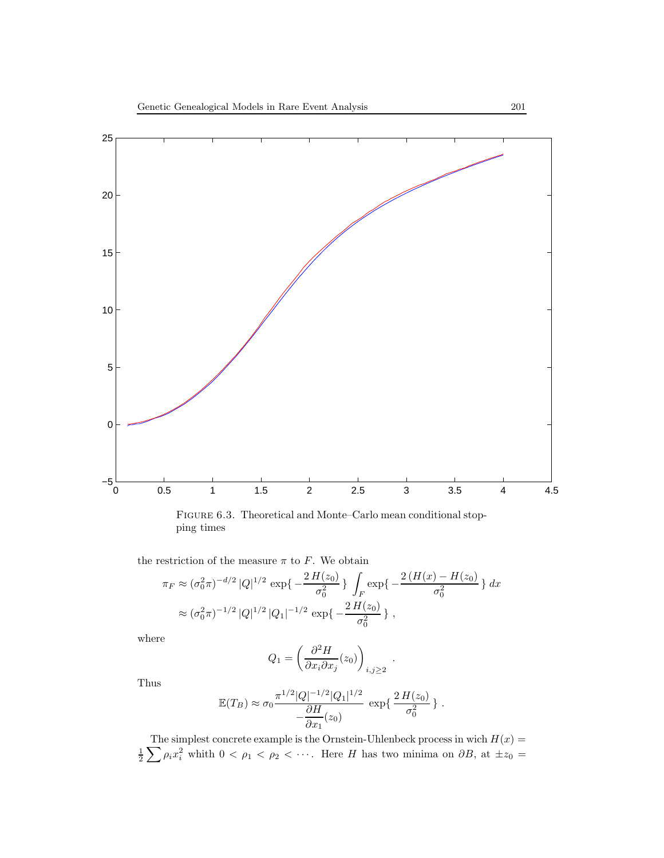

Figure 6.3. Theoretical and Monte–Carlo mean conditional stopping times

the restriction of the measure  $\pi$  to  $F$ . We obtain

$$
\pi_F \approx (\sigma_0^2 \pi)^{-d/2} |Q|^{1/2} \exp\left\{-\frac{2 H(z_0)}{\sigma_0^2}\right\} \int_F \exp\left\{-\frac{2 (H(x) - H(z_0))}{\sigma_0^2}\right\} dx
$$
  

$$
\approx (\sigma_0^2 \pi)^{-1/2} |Q|^{1/2} |Q_1|^{-1/2} \exp\left\{-\frac{2 H(z_0)}{\sigma_0^2}\right\},
$$

where

$$
Q_1 = \left(\frac{\partial^2 H}{\partial x_i \partial x_j}(z_0)\right)_{i,j \geq 2} .
$$

Thus

$$
\mathbb{E}(T_B) \approx \sigma_0 \frac{\pi^{1/2} |Q|^{-1/2} |Q_1|^{1/2}}{-\frac{\partial H}{\partial x_1}(z_0)} \exp{\frac{2 H(z_0)}{\sigma_0^2}}.
$$

The simplest concrete example is the Ornstein-Uhlenbeck process in wich  $H(x)$  =  $\frac{1}{2}\sum \rho_i x_i^2$  whith  $0 < \rho_1 < \rho_2 < \cdots$ . Here H has two minima on  $\partial B$ , at  $\pm z_0 =$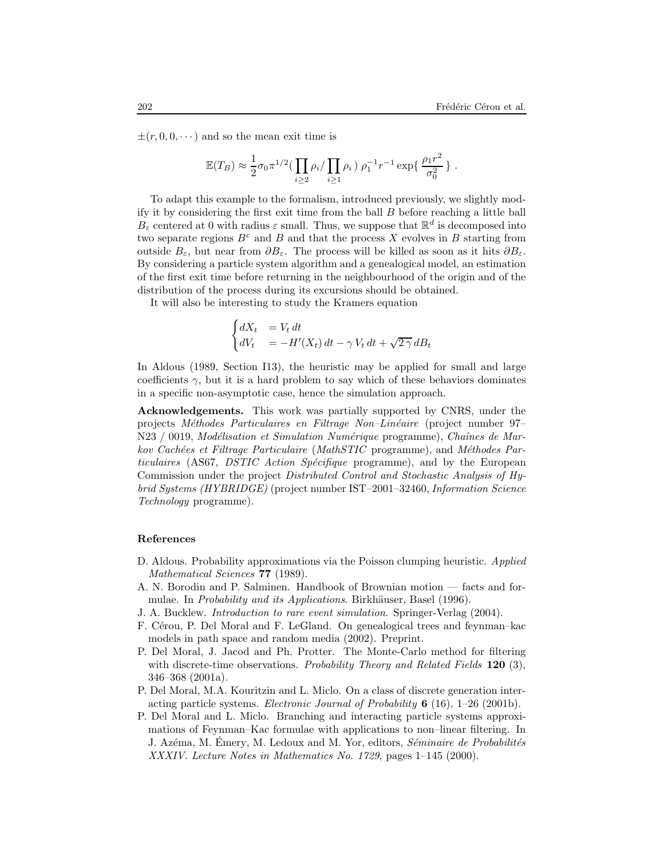$\pm (r, 0, 0, \dots)$  and so the mean exit time is

$$
\mathbb{E}(T_B) \approx \frac{1}{2}\sigma_0 \pi^{1/2} \left( \prod_{i\geq 2} \rho_i / \prod_{i\geq 1} \rho_i \right) \rho_1^{-1} r^{-1} \exp\left\{ \frac{\rho_1 r^2}{\sigma_0^2} \right\}.
$$

To adapt this example to the formalism, introduced previously, we slightly modify it by considering the first exit time from the ball B before reaching a little ball  $B_{\varepsilon}$  centered at 0 with radius  $\varepsilon$  small. Thus, we suppose that  $\mathbb{R}^d$  is decomposed into two separate regions  $B^c$  and B and that the process X evolves in B starting from outside  $B_{\varepsilon}$ , but near from  $\partial B_{\varepsilon}$ . The process will be killed as soon as it hits  $\partial B_{\varepsilon}$ . By considering a particle system algorithm and a genealogical model, an estimation of the first exit time before returning in the neighbourhood of the origin and of the distribution of the process during its excursions should be obtained.

It will also be interesting to study the Kramers equation

$$
\begin{cases} dX_t &= V_t dt \\ dV_t &= -H'(X_t) dt - \gamma V_t dt + \sqrt{2\gamma} dB_t \end{cases}
$$

In Aldous (1989, Section I13), the heuristic may be applied for small and large coefficients  $\gamma$ , but it is a hard problem to say which of these behaviors dominates in a specific non-asymptotic case, hence the simulation approach.

Acknowledgements. This work was partially supported by CNRS, under the projects Méthodes Particulaires en Filtrage Non–Linéaire (project number 97– N23 / 0019, Modélisation et Simulation Numérique programme), Chaînes de Markov Cachées et Filtrage Particulaire (MathSTIC programme), and Méthodes Particulaires (AS67, DSTIC Action Spécifique programme), and by the European Commission under the project Distributed Control and Stochastic Analysis of Hybrid Systems (HYBRIDGE) (project number IST–2001–32460, Information Science Technology programme).

#### References

- D. Aldous. Probability approximations via the Poisson clumping heuristic. Applied Mathematical Sciences **77** (1989).
- A. N. Borodin and P. Salminen. Handbook of Brownian motion facts and formulae. In *Probability and its Applications*. Birkhäuser, Basel (1996).
- J. A. Bucklew. Introduction to rare event simulation. Springer-Verlag (2004).
- F. Cérou, P. Del Moral and F. LeGland. On genealogical trees and feynman–kac models in path space and random media (2002). Preprint.
- P. Del Moral, J. Jacod and Ph. Protter. The Monte-Carlo method for filtering with discrete-time observations. Probability Theory and Related Fields  $120$  (3), 346–368 (2001a).
- P. Del Moral, M.A. Kouritzin and L. Miclo. On a class of discrete generation interacting particle systems. Electronic Journal of Probability  $6 \ (16)$ , 1–26 (2001b).
- P. Del Moral and L. Miclo. Branching and interacting particle systems approximations of Feynman–Kac formulae with applications to non–linear filtering. In J. Azéma, M. Émery, M. Ledoux and M. Yor, editors, Séminaire de Probabilités XXXIV. Lecture Notes in Mathematics No. 1729, pages 1–145 (2000).